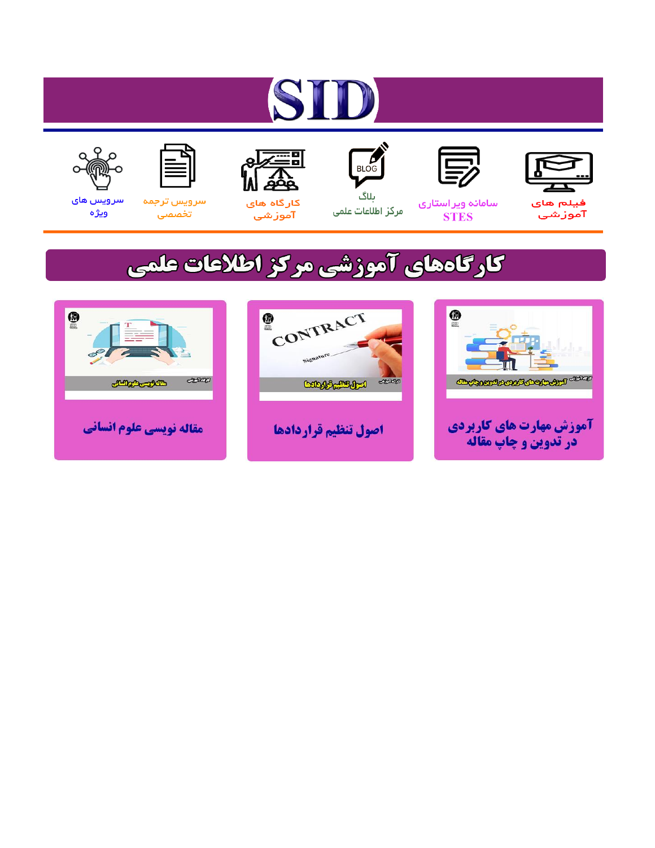# ST









#### سامائه ويراستاري **STES**



ىلاگ مرکز اطلاعات علمی



ققق کارگاه های

آموزشي

空



تخصصى

سرویس های ويژه

### كارگاههای آموزشی مركز اطلاعات علمی





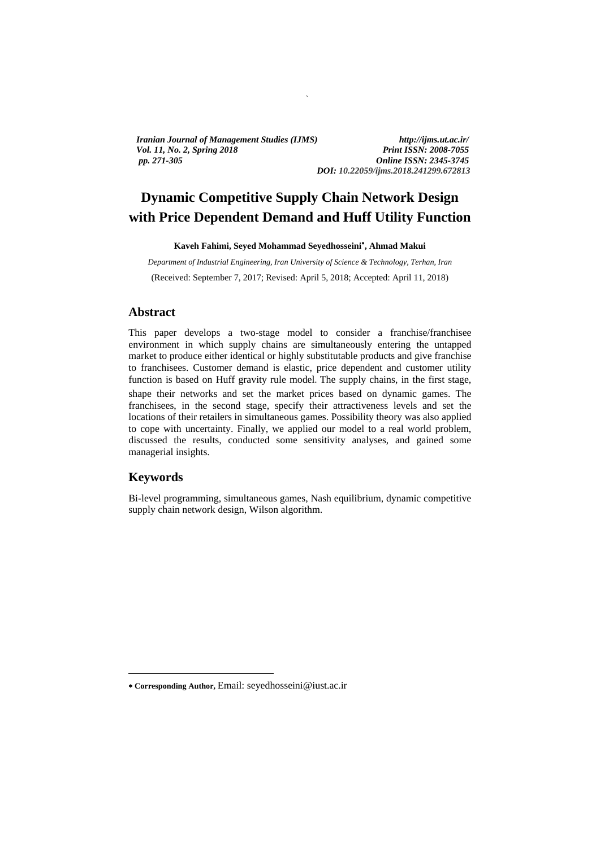*Iranian Journal of Management Studies (IJMS) http://ijms.ut.ac.ir/ Vol. 11, No. 2, Spring 2018 Print ISSN: 2008-7055 pp. 271-305 Online ISSN: 2345-3745* 

*DOI: 10.22059/ijms.2018.241299.672813*

### **Dynamic Competitive Supply Chain Network Design with Price Dependent Demand and Huff Utility Function**

`

**Kaveh Fahimi, Seyed Mohammad Seyedhosseini , Ahmad Makui** 

*Department of Industrial Engineering, Iran University of Science & Technology, Terhan, Iran*  (Received: September 7, 2017; Revised: April 5, 2018; Accepted: April 11, 2018)

#### **Abstract**

Kaveh Fahimi, Seyed Mohammad Seyedhosseini", Ahmad Makui<br>
Department of Industrial Engineering, Iran University of Science & Technology, Tofficia, Iran<br>
(Received: September 7, 2017; Revised: April 5, 2018; Accepted: April This paper develops a two-stage model to consider a franchise/franchisee environment in which supply chains are simultaneously entering the untapped market to produce either identical or highly substitutable products and give franchise to franchisees. Customer demand is elastic, price dependent and customer utility function is based on Huff gravity rule model . The supply chains, in the first stage, shape their networks and set the market prices based on dynamic games. The franchisees, in the second stage, specify their attractiveness levels and set the locations of their retailers in simultaneous games. Possibility theory was also applied to cope with uncertainty. Finally, we applied our model to a real world problem, discussed the results, conducted some sensitivity analyses, and gained some managerial insights.

#### **Keywords**

 $\overline{a}$ 

Bi-level programming, simultaneous games, Nash equilibrium, dynamic competitive supply chain network design, Wilson algorithm.

**Corresponding Author,** Email: seyedhosseini@iust.ac.ir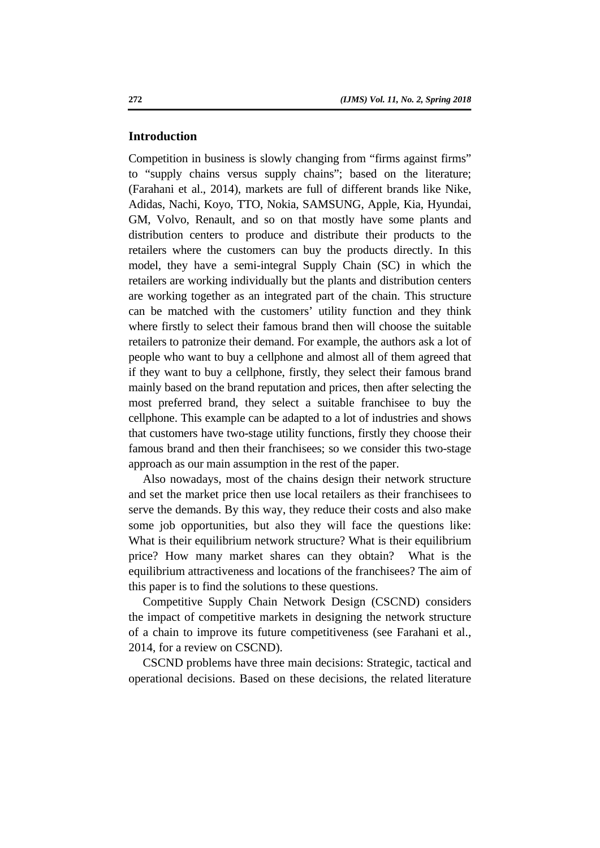#### **Introduction**

retailers where the customers can buy the products directly. In this model, they have a semi-integral Supply Chain (SC) in which the retailers are working individually but the plants and distribution centers are working to Competition in business is slowly changing from "firms against firms" to "supply chains versus supply chains"; based on the literature; (Farahani et al., 2014), markets are full of different brands like Nike, Adidas, Nachi, Koyo, TTO, Nokia, SAMSUNG, Apple, Kia, Hyundai, GM, Volvo, Renault, and so on that mostly have some plants and distribution centers to produce and distribute their products to the retailers where the customers can buy the products directly. In this model, they have a semi-integral Supply Chain (SC) in which the retailers are working individually but the plants and distribution centers are working together as an integrated part of the chain. This structure can be matched with the customers' utility function and they think where firstly to select their famous brand then will choose the suitable retailers to patronize their demand. For example, the authors ask a lot of people who want to buy a cellphone and almost all of them agreed that if they want to buy a cellphone, firstly, they select their famous brand mainly based on the brand reputation and prices, then after selecting the most preferred brand, they select a suitable franchisee to buy the cellphone. This example can be adapted to a lot of industries and shows that customers have two-stage utility functions, firstly they choose their famous brand and then their franchisees; so we consider this two-stage approach as our main assumption in the rest of the paper.

Also nowadays, most of the chains design their network structure and set the market price then use local retailers as their franchisees to serve the demands. By this way, they reduce their costs and also make some job opportunities, but also they will face the questions like: What is their equilibrium network structure? What is their equilibrium price? How many market shares can they obtain? What is the equilibrium attractiveness and locations of the franchisees? The aim of this paper is to find the solutions to these questions.

Competitive Supply Chain Network Design (CSCND) considers the impact of competitive markets in designing the network structure of a chain to improve its future competitiveness (see Farahani et al., 2014, for a review on CSCND).

CSCND problems have three main decisions: Strategic, tactical and operational decisions. Based on these decisions, the related literature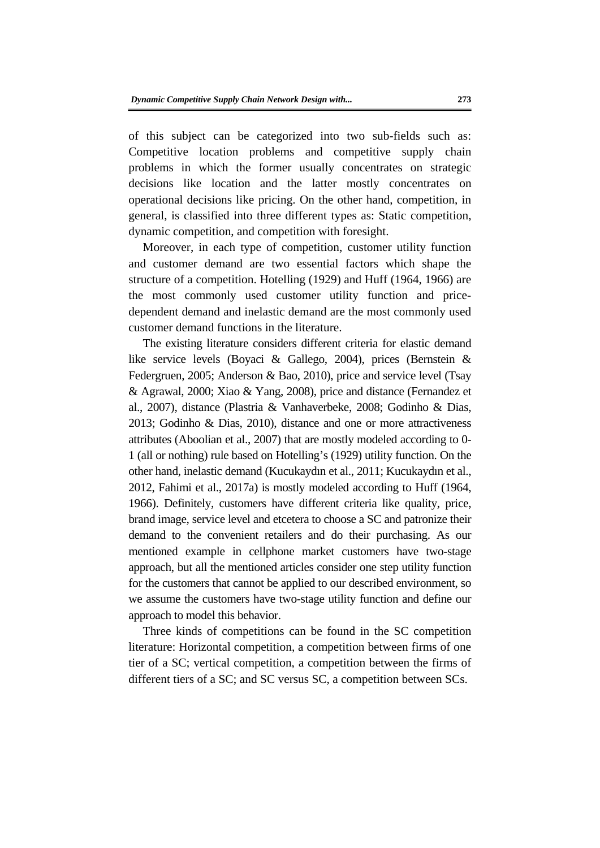of this subject can be categorized into two sub-fields such as: Competitive location problems and competitive supply chain problems in which the former usually concentrates on strategic decisions like location and the latter mostly concentrates on operational decisions like pricing. On the other hand, competition, in general, is classified into three different types as: Static competition, dynamic competition, and competition with foresight.

Moreover, in each type of competition, customer utility function and customer demand are two essential factors which shape the structure of a competition. Hotelling (1929) and Huff (1964, 1966) are the most commonly used customer utility function and pricedependent demand and inelastic demand are the most commonly used customer demand functions in the literature.

Moreover, in each type of competition, customer utility function<br>and customer demand are two essential factors which shape the<br>structure of a competition. Hotelling (1929) and Huff (1964, 1966) are<br>the most commonly used The existing literature considers different criteria for elastic demand like service levels (Boyaci & Gallego, 2004), prices (Bernstein & Federgruen, 2005; Anderson & Bao, 2010), price and service level (Tsay & Agrawal, 2000; Xiao & Yang, 2008), price and distance (Fernandez et al., 2007), distance (Plastria & Vanhaverbeke, 2008; Godinho & Dias, 2013; Godinho & Dias, 2010), distance and one or more attractiveness attributes (Aboolian et al., 2007) that are mostly modeled according to 0- 1 (all or nothing) rule based on Hotelling's (1929) utility function. On the other hand, inelastic demand (Kucukayd ın et al., 2011; Kucukayd ın et al., 2012, Fahimi et al., 2017a) is mostly modeled according to Huff (1964, 1966). Definitely, customers have different criteria like quality, price, brand image, service level and etcetera to choose a SC and patronize their demand to the convenient retailers and do their purchasing. As our mentioned example in cellphone market customers have two-stage approach, but all the mentioned articles consider one step utility function for the customers that cannot be applied to our described environment, so we assume the customers have two-stage utility function and define our approach to model this behavior.

Three kinds of competitions can be found in the SC competition literature: Horizontal competition, a competition between firms of one tier of a SC; vertical competition, a competition between the firms of different tiers of a SC; and SC versus SC, a competition between SCs.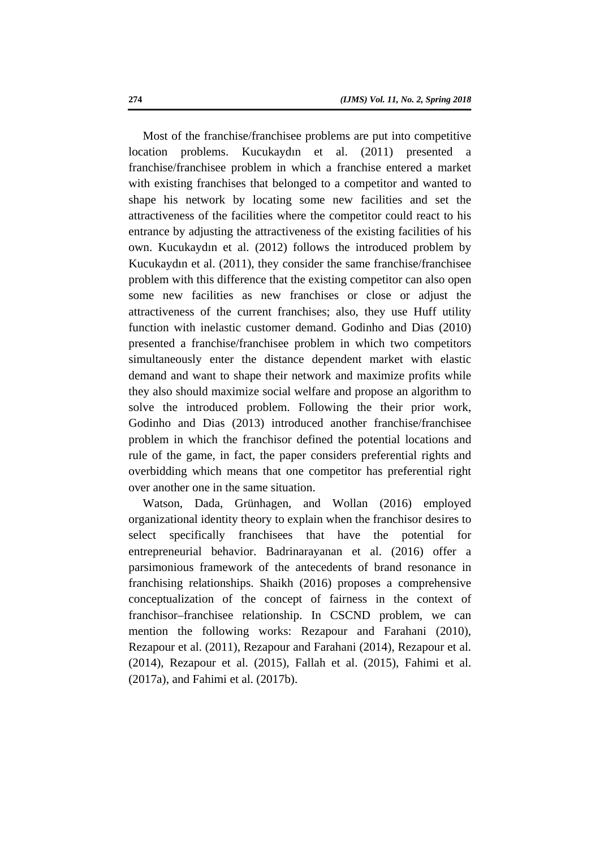own. Kucukaydın et al. (2012) follows the introduced problem by<br>Kucukaydın et al. (2011), they consider the same franchise franchise<br>problem with this difference that the existing competitor can also open<br>some new faciliti Most of the franchise/franchisee problems are put into competitive location problems. Kucukayd ın et al. (2011) presented a franchise/franchisee problem in which a franchise entered a market with existing franchises that belonged to a competitor and wanted to shape his network by locating some new facilities and set the attractiveness of the facilities where the competitor could react to his entrance by adjusting the attractiveness of the existing facilities of his own. Kucukayd ın et al. (2012) follows the introduced problem by Kucukayd ın et al. (2011), they consider the same franchise/franchisee problem with this difference that the existing competitor can also open some new facilities as new franchises or close or adjust the attractiveness of the current franchises; also, they use Huff utility function with inelastic customer demand. Godinho and Dias (2010) presented a franchise/franchisee problem in which two competitors simultaneously enter the distance dependent market with elastic demand and want to shape their network and maximize profits while they also should maximize social welfare and propose an algorithm to solve the introduced problem. Following the their prior work, Godinho and Dias (2013) introduced another franchise/franchisee problem in which the franchisor defined the potential locations and rule of the game, in fact, the paper considers preferential rights and overbidding which means that one competitor has preferential right over another one in the same situation.

Watson, Dada, Grünhagen, and Wollan (2016) employed organizational identity theory to explain when the franchisor desires to select specifically franchisees that have the potential for entrepreneurial behavior. Badrinarayanan et al. (2016) offer a parsimonious framework of the antecedents of brand resonance in franchising relationships. Shaikh (2016) proposes a comprehensive conceptualization of the concept of fairness in the context of franchisor–franchisee relationship. In CSCND problem, we can mention the following works: Rezapour and Farahani (2010), Rezapour et al. (2011), Rezapour and Farahani (2014), Rezapour et al. (2014), Rezapour et al. (2015), Fallah et al. (2015), Fahimi et al. (2017a), and Fahimi et al. (2017b).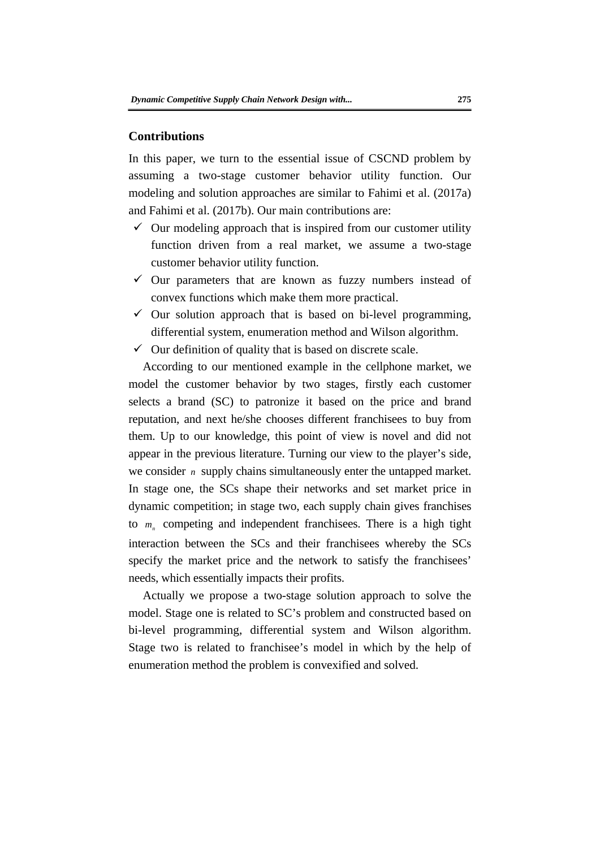#### **Contributions**

In this paper, we turn to the essential issue of CSCND problem by assuming a two-stage customer behavior utility function. Our modeling and solution approaches are similar to Fahimi et al. (2017a) and Fahimi et al. (2017b). Our main contributions are:

- $\checkmark$  Our modeling approach that is inspired from our customer utility function driven from a real market, we assume a two-stage customer behavior utility function.
- $\checkmark$  Our parameters that are known as fuzzy numbers instead of convex functions which make them more practical.
- $\checkmark$  Our solution approach that is based on bi-level programming, differential system, enumeration method and Wilson algorithm.
- $\checkmark$  Our definition of quality that is based on discrete scale.

function driven from a real market, we assume a two-stage<br>customer behavior utility function.<br> $\checkmark$  Our parameters that are known as fuzzy numbers instead of<br>convex functions which make them more practical<br> $\checkmark$  Our solut According to our mentioned example in the cellphone market, we model the customer behavior by two stages, firstly each customer selects a brand (SC) to patronize it based on the price and brand reputation, and next he/she chooses different franchisees to buy from them. Up to our knowledge, this point of view is novel and did not appear in the previous literature. Turning our view to the player's side, we consider *n* supply chains simultaneously enter the untapped market. In stage one, the SCs shape their networks and set market price in dynamic competition; in stage two, each supply chain gives franchises to  $m_n$  competing and independent franchisees. There is a high tight interaction between the SCs and their franchisees whereby the SCs specify the market price and the network to satisfy the franchisees' needs, which essentially impacts their profits.

Actually we propose a two-stage solution approach to solve the model. Stage one is related to SC's problem and constructed based on bi-level programming, differential system and Wilson algorithm. Stage two is related to franchisee's model in which by the help of enumeration method the problem is convexified and solved.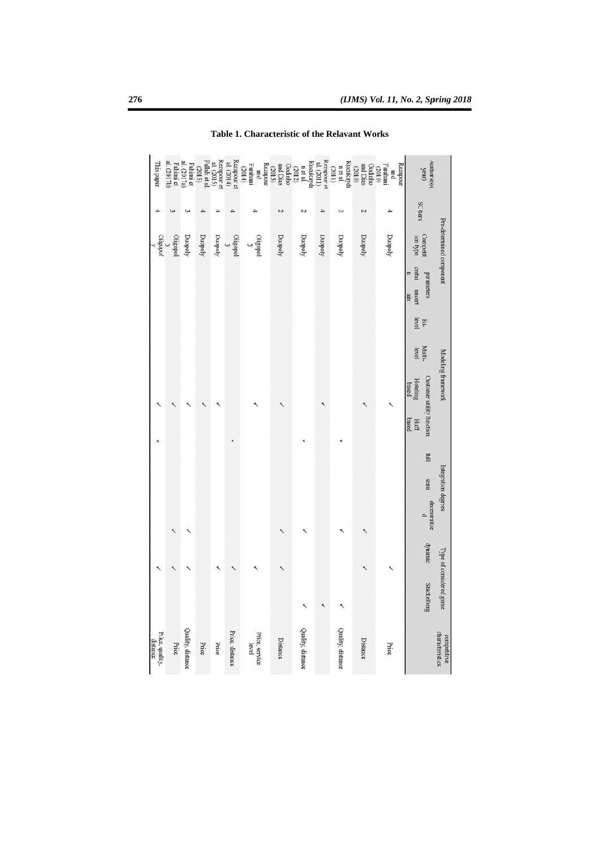|             |                         |                                     | ć                                                 |                                      |                                                          | $\frac{y}{\text{Cylgopol}}$         |                 | This paper                                                                                                                                                                                                                                                                                                                                                                                                                                                                        |
|-------------|-------------------------|-------------------------------------|---------------------------------------------------|--------------------------------------|----------------------------------------------------------|-------------------------------------|-----------------|-----------------------------------------------------------------------------------------------------------------------------------------------------------------------------------------------------------------------------------------------------------------------------------------------------------------------------------------------------------------------------------------------------------------------------------------------------------------------------------|
|             | ৻                       |                                     |                                                   |                                      |                                                          | Oligopol                            |                 | al. (2017a)<br>Fahimi et<br>al. (2017b)                                                                                                                                                                                                                                                                                                                                                                                                                                           |
|             |                         |                                     |                                                   |                                      |                                                          | Duopoly                             |                 | Fahimi et                                                                                                                                                                                                                                                                                                                                                                                                                                                                         |
|             |                         |                                     |                                                   |                                      |                                                          | Duopoly                             |                 | (2015)                                                                                                                                                                                                                                                                                                                                                                                                                                                                            |
|             |                         |                                     |                                                   |                                      |                                                          | Duopoly                             |                 | Rezapour et<br>al. $(2015)$<br>Fallah et al.                                                                                                                                                                                                                                                                                                                                                                                                                                      |
|             |                         |                                     |                                                   |                                      |                                                          | $\frac{1}{y}$ oqeaho                |                 | Rezapour et<br>al. (2014)                                                                                                                                                                                                                                                                                                                                                                                                                                                         |
|             |                         |                                     |                                                   |                                      |                                                          | Oligopol<br>$\overline{\mathbf{y}}$ |                 | Farahani $(2014)$<br>pum                                                                                                                                                                                                                                                                                                                                                                                                                                                          |
|             |                         |                                     |                                                   |                                      |                                                          | Duopoly                             | $\overline{v}$  | Kucuksyd<br>$\begin{array}{r}\n\text{m et al.} \\ \text{coshho} \\ \text{and Dias} \\ \text{coshho} \\ \text{cosh} \\ \text{cexp} \\ \text{cexp} \\ \text{cexp} \\ \text{cexp} \\ \text{cexp} \\ \text{cexp} \\ \text{cexp} \\ \text{cexp} \\ \text{cexp} \\ \text{cexp} \\ \text{cexp} \\ \text{cexp} \\ \text{cexp} \\ \text{cexp} \\ \text{cexp} \\ \text{cexp} \\ \text{cexp} \\ \text{cexp} \\ \text{cexp} \\ \text{cexp} \\ \text{cexp} \\ \text{cexp} \\ \text{cexp} \\ \$ |
|             |                         |                                     |                                                   |                                      |                                                          | Duopoly                             | N               |                                                                                                                                                                                                                                                                                                                                                                                                                                                                                   |
|             |                         |                                     |                                                   |                                      |                                                          | Duopoly                             | 4               | $\frac{Rezapour}{al.}(2011)$                                                                                                                                                                                                                                                                                                                                                                                                                                                      |
|             |                         |                                     |                                                   |                                      |                                                          | Duopoly                             | Z               | Kucukaydı<br>n et al.<br>(2011)                                                                                                                                                                                                                                                                                                                                                                                                                                                   |
|             |                         |                                     |                                                   |                                      |                                                          | Duopoly                             | ς               | Godinho<br>and Dias<br>(2010)                                                                                                                                                                                                                                                                                                                                                                                                                                                     |
|             |                         |                                     |                                                   |                                      |                                                          | Duopoly                             | 4               | Rezapour<br>Farahani<br>(2010)<br>pum                                                                                                                                                                                                                                                                                                                                                                                                                                             |
| Stackelberg | dynamic                 | Ë<br>semi<br>decentralize<br>$\sim$ | <b>Customer utility function</b><br>based<br>Huff | Multi-<br>level<br>Hoteling<br>based | certai<br>Ξ<br>parameters<br>uncert<br>m<br>Bi-<br>level | Competit                            | <b>SC tiers</b> | $\begin{array}{l} \mathrm{AutInors}(\mathbf{s}) ( \\ \mathrm{year}) \end{array}$                                                                                                                                                                                                                                                                                                                                                                                                  |
|             | Type of considered game | Integration degrees                 |                                                   | Modeling framework                   |                                                          | Pre-determined component            |                 |                                                                                                                                                                                                                                                                                                                                                                                                                                                                                   |
|             |                         |                                     |                                                   |                                      |                                                          |                                     |                 |                                                                                                                                                                                                                                                                                                                                                                                                                                                                                   |

Table 1. Characteristic of the Relavant Works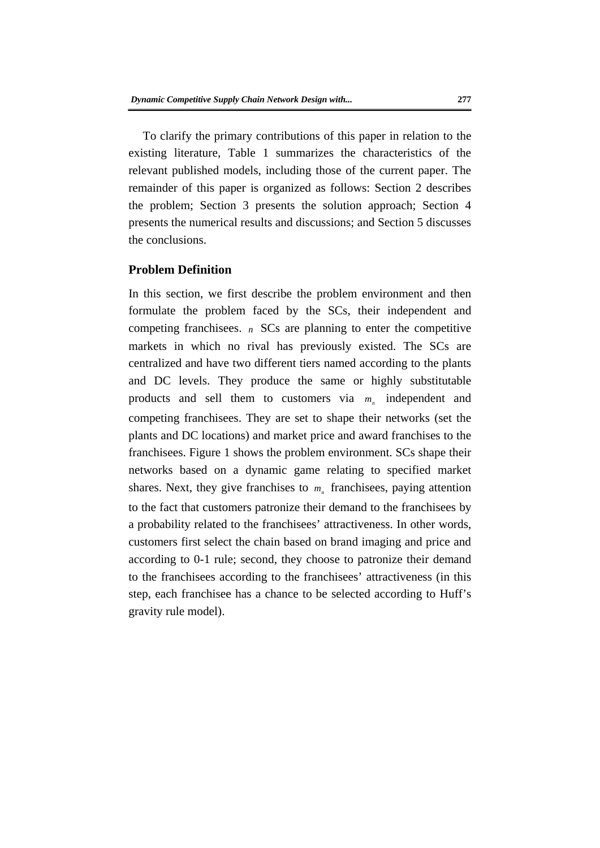To clarify the primary contributions of this paper in relation to the existing literature, Table 1 summarizes the characteristics of the relevant published models, including those of the current paper. The remainder of this paper is organized as follows: Section 2 describes the problem; Section 3 presents the solution approach; Section 4 presents the numerical results and discussions; and Section 5 discusses the conclusions.

#### **Problem Definition**

**Problem Definition**<br>In this section, we first describe the problem environment and then<br>formulate the problem faced by the SCs, then independent and<br>competing franchisees. *n* SCs are planning to enter the competitive<br>ma In this section, we first describe the problem environment and then formulate the problem faced by the SCs, their independent and competing franchisees.  $n$  SCs are planning to enter the competitive markets in which no rival has previously existed. The SCs are centralized and have two different tiers named according to the plants and DC levels. They produce the same or highly substitutable products and sell them to customers via  $m_n$  independent and competing franchisees. They are set to shape their networks (set the plants and DC locations) and market price and award franchises to the franchisees. Figure 1 shows the problem environment. SCs shape their networks based on a dynamic game relating to specified market shares. Next, they give franchises to  $m<sub>n</sub>$  franchisees, paying attention to the fact that customers patronize their demand to the franchisees by a probability related to the franchisees' attractiveness. In other words, customers first select the chain based on brand imaging and price and according to 0-1 rule; second, they choose to patronize their demand to the franchisees according to the franchisees' attractiveness (in this step, each franchisee has a chance to be selected according to Huff's gravity rule model).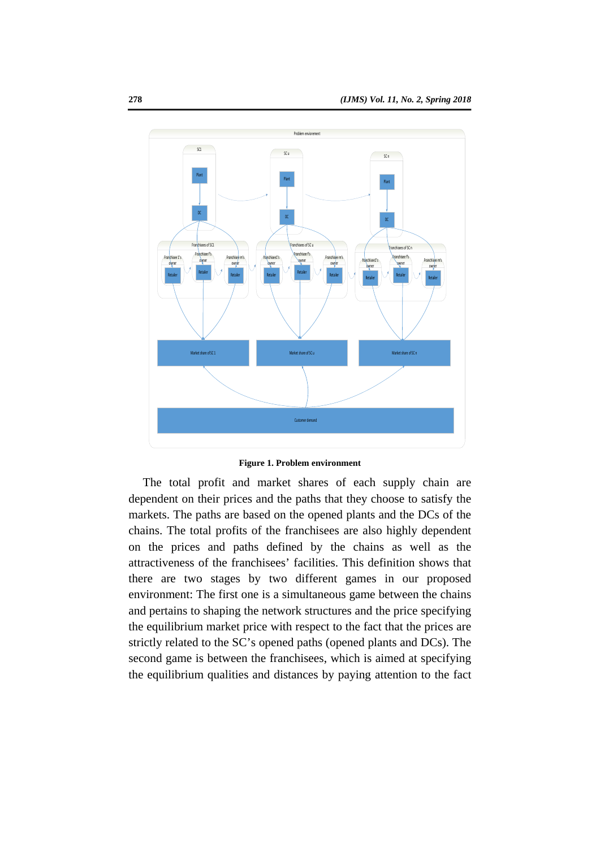

#### **Figure 1. Problem environment**

The total profit and market shares of each supply chain are dependent on their prices and the paths that they choose to satisfy the markets. The paths are based on the opened plants and the DCs of the chains. The total profits of the franchisees are also highly dependent on the prices and paths defined by the chains as well as the attractiveness of the franchisees' facilities. This definition shows that there are two stages by two different games in our proposed environment: The first one is a simultaneous game between the chains and pertains to shaping the network structures and the price specifying the equilibrium market price with respect to the fact that the prices are strictly related to the SC's opened paths (opened plants and DCs). The second game is between the franchisees, which is aimed at specifying the equilibrium qualities and distances by paying attention to the fact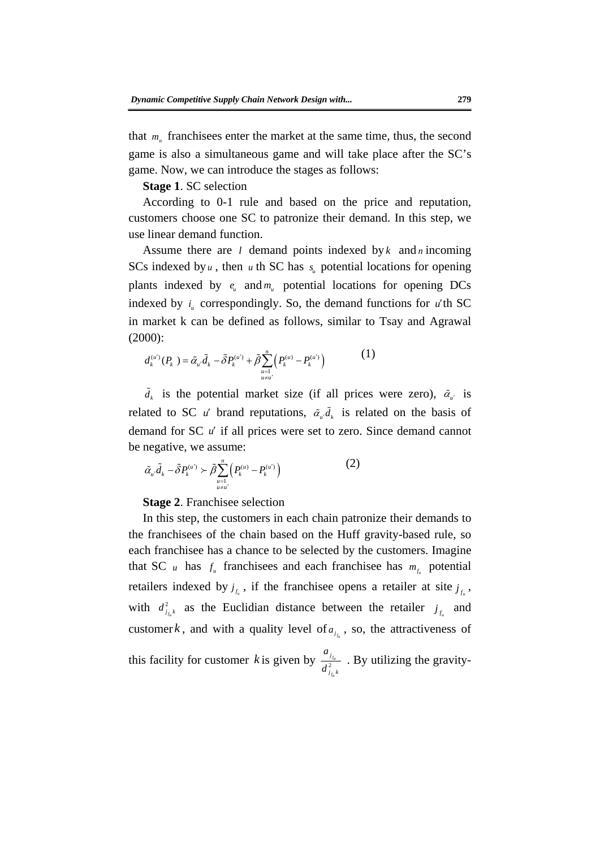that  $m_n$  franchisees enter the market at the same time, thus, the second game is also a simultaneous game and will take place after the SC's game. Now, we can introduce the stages as follows:

**Stage 1**. SC selection

According to 0-1 rule and based on the price and reputation, customers choose one SC to patronize their demand. In this step, we use linear demand function.

Assume there are *l* demand points indexed by *k* and *n* incoming<br>SCs indexed by *u*, then *u* th SC has  $s_u$  potential locations for opening<br>plants indexed by *u<sub>u</sub>* correspondingly. So, the demand functions for opening Assume there are *l* demand points indexed by *k* and *n* incoming SCs indexed by  $u$ , then  $u$  th SC has  $s_u$  potential locations for opening plants indexed by  $e_u$  and  $m_u$  potential locations for opening DCs indexed by  $i_{\mu}$  correspondingly. So, the demand functions for  $\vec{u}$  th SC in market k can be defined as follows, similar to Tsay and Agrawal (2000):

$$
d_k^{(u)}(P_k) = \tilde{\alpha}_u \tilde{d}_k - \tilde{\delta} P_k^{(u)} + \tilde{\beta} \sum_{\substack{u=1 \ u \neq u'}}^n \left( P_k^{(u)} - P_k^{(u')} \right) \tag{1}
$$

 $\tilde{d}_k$  is the potential market size (if all prices were zero),  $\tilde{\alpha}_{\mu'}$  is related to SC u' brand reputations,  $\tilde{\alpha}_u \tilde{d}_k$  is related on the basis of demand for SC *u* if all prices were set to zero. Since demand cannot be negative, we assume:

$$
\tilde{\alpha}_{u'}\tilde{d}_k - \tilde{\delta}P_k^{(u')} \succ \tilde{\beta} \sum_{\substack{n=1 \ n \neq u'}}^n (P_k^{(n)} - P_k^{(u')})
$$
\n(2)

**Stage 2**. Franchisee selection

In this step, the customers in each chain patronize their demands to the franchisees of the chain based on the Huff gravity-based rule, so each franchisee has a chance to be selected by the customers. Imagine that SC *u* has  $f_u$  franchisees and each franchisee has  $m_{f_u}$  potential retailers indexed by  $j_{f_n}$ , if the franchise opens a retailer at site  $j_{f_n}$ , with  $d_{j_{f,k}}^2$  as the Euclidian distance between the retailer  $j_{f_k}$  and customer *k*, and with a quality level of  $a_{i_{j_a}}$ , so, the attractiveness of this facility for customer k is given by  $\frac{a_1}{d^2}$  $\frac{a_{j_{f_u}}}{d_{j_{f_u}}^2}$ . By utilizing the gravity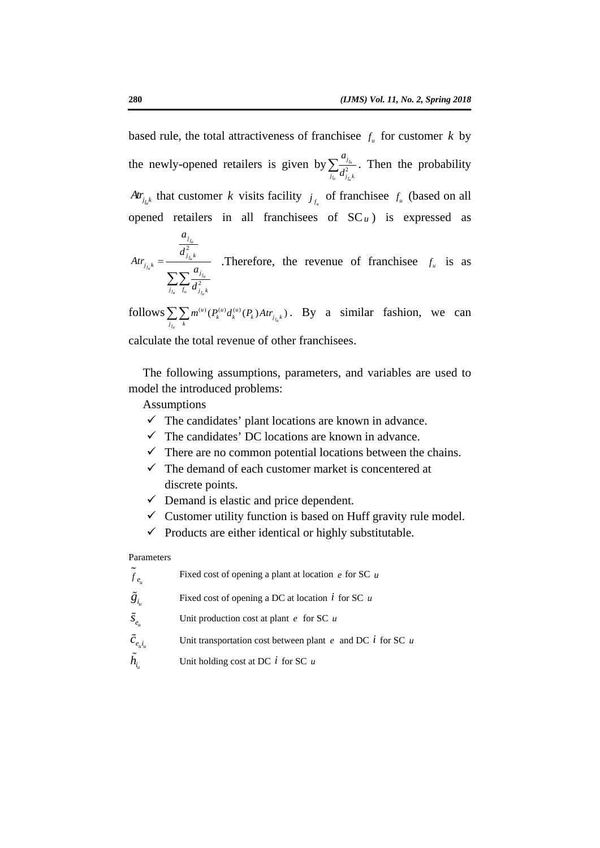based rule, the total attractiveness of franchisee  $f_u$  for customer k by the newly-opened retailers is given by  $\sum_{i=1}^{\infty} \frac{f_{f_i}}{f_i^2}$  $\sum_{j_{i_k}} \frac{a_{j_{i_k}}}{d_{j_{i_k}}^2}$ . Then the probability *fuj At*<sub> $j_{n,k}$ </sub> that customer *k* visits facility  $j_{n}$  of franchisee  $f_n$  (based on all opened retailers in all franchisees of  $SC<sub>u</sub>$ ) is expressed as

Atr<sub> $J_{i,k}$ </sub> =  $\frac{\overline{d}_{j,k}^2}{\sum_{j_k} \sum_{k} \frac{d_{j_k}}{d_{j_k}k}}$ . Therefore, the revenue of franchise<br>  $\sum_{j_k} \sum_{k} \frac{d_{j_k}}{d_{j_k}k}$ <br>
follows  $\sum_{j_k} \sum_{k} m^{(s)} (P_k^{(s)} d_k^{(s)} (P_k) Atr_{j_k}$ . By a similar fashion, we can<br>
calculate th 2 *fufu fu fu*  $f_u$   $J_u$   $J_{f_u}$ *j j k j k j*  $\frac{a_{j_{f_u}}}{d_{j_{f_u}}^2}$ <br>  $\sum_{j_{f_u}} \sum_{f_u} \frac{a_{j_{f_u}}}{d_{j_{f_u}}^2}$ *Atr ad*  $=$  $\sum\!sum$  .Therefore, the revenue of franchisee is as

 $\text{follows } \sum_{j_{f_u}}\sum_{k}m^{(u)}(P_{k}^{(u)}d_{k}^{(u)}(P_{k})Art_{j_{f_u}k})$  $\sum_{i_k} \sum_k m^{(u)} (P_k^{(u)} d_k^{(u)} (P_k) Art_{j_{f_u} k})$ . By a similar fashion, we can

calculate the total revenue of other franchisees.

The following assumptions, parameters, and variables are used to model the introduced problems:

Assumptions

- $\checkmark$  The candidates' plant locations are known in advance.
- $\checkmark$  The candidates' DC locations are known in advance.
- $\checkmark$  There are no common potential locations between the chains.
- $\checkmark$  The demand of each customer market is concentered at discrete points.
- $\checkmark$  Demand is elastic and price dependent.
- $\checkmark$  Customer utility function is based on Huff gravity rule model.
- $\checkmark$  Products are either identical or highly substitutable.

Parameters

 $\widetilde{f}_{e_u}$  Fixed cost of opening a plant at location *e* for SC *u* 

- $\tilde{g}_{i_{u}}$  $\tilde{g}_{i}$  Fixed cost of opening a DC at location *i* for SC u
- $\tilde{S}_{e}$  $\tilde{S}_{e_{u}}$  Unit production cost at plant *e* for SC *u*
- $\tilde{c}_{e,i}$  $\tilde{c}_{e_i i_n}$  Unit transportation cost between plant *e* and DC *i* for SC *u*
- $h_i$  $\tilde{h}_{i}$  Unit holding cost at DC *i* for SC *u*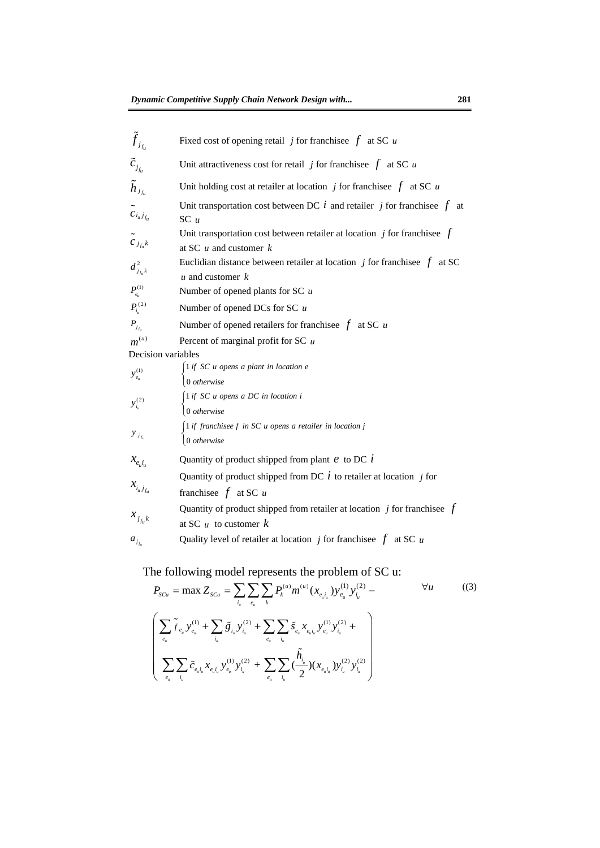| $\tilde{f}_{j_{f_u}}$                | Fixed cost of opening retail j for franchisee $f$ at SC u                                                                                                                                                                                                                                                                                                                                          |
|--------------------------------------|----------------------------------------------------------------------------------------------------------------------------------------------------------------------------------------------------------------------------------------------------------------------------------------------------------------------------------------------------------------------------------------------------|
| $\tilde{c}_{j_{f_u}}$                | Unit attractiveness cost for retail j for franchisee $f$ at SC u                                                                                                                                                                                                                                                                                                                                   |
| $\tilde{h}_{j_{f_u}}$                | Unit holding cost at retailer at location $j$ for franchisee $f$ at SC $u$                                                                                                                                                                                                                                                                                                                         |
| $\tilde{c}_{i_u j_{f_u}}$            | Unit transportation cost between DC $i$ and retailer $j$ for franchisee $f$ at<br>$SC$ u                                                                                                                                                                                                                                                                                                           |
| $\tilde{c}_{j_{f_u}k}$               | Unit transportation cost between retailer at location $j$ for franchise $f$<br>at SC $u$ and customer $k$                                                                                                                                                                                                                                                                                          |
| $d_{j_{f_k}k}^2$                     | Euclidian distance between retailer at location $j$ for franchises $f$<br>at SC<br>$u$ and customer $k$                                                                                                                                                                                                                                                                                            |
| $P^{(1)}_{e_{\scriptscriptstyle u}}$ | Number of opened plants for SC $u$                                                                                                                                                                                                                                                                                                                                                                 |
| $P_{i_{u}}^{(2)}$                    | Number of opened DCs for SC $u$                                                                                                                                                                                                                                                                                                                                                                    |
| $P_{j_{f_u}}$                        | Number of opened retailers for franchisee $f$ at SC                                                                                                                                                                                                                                                                                                                                                |
| $m^{(u)}$                            | Percent of marginal profit for SC $u$                                                                                                                                                                                                                                                                                                                                                              |
| Decision variables                   |                                                                                                                                                                                                                                                                                                                                                                                                    |
| $y_{e_{u}}^{(1)}$                    | $\int$ 1 if SC u opens a plant in location e<br>0 otherwise                                                                                                                                                                                                                                                                                                                                        |
| $y_{i_u}^{(2)}$                      | $\int$ 1 if SC u opens a DC in location i<br>0 otherwise                                                                                                                                                                                                                                                                                                                                           |
| $y_{j_{t_u}}$                        | 1 if franchisee f in SC u opens a retailer in location j<br>0 otherwise                                                                                                                                                                                                                                                                                                                            |
| $\mathcal{X}_{e_{u}i_{u}}$           | Quantity of product shipped from plant $e$ to DC $i$                                                                                                                                                                                                                                                                                                                                               |
| $x_{i_u j_{f_u}}$                    | Quantity of product shipped from DC $i$ to retailer at location $j$ for<br>franchisee $f$ at SC $u$                                                                                                                                                                                                                                                                                                |
| $x_{j_{f_u} k}$                      | Quantity of product shipped from retailer at location $j$ for franchisee $f$<br>at SC $\mu$ to customer $k$                                                                                                                                                                                                                                                                                        |
|                                      | Quality level of retailer at location j for franchise $f$ at SC u<br>The following model represents the problem of SC u:                                                                                                                                                                                                                                                                           |
|                                      | $P_{scu} = \max Z_{scu} = \sum_{i_u} \sum_{e_u} \sum_k P_k^{(u)} m^{(u)} (x_{e_u i_u}) y_{e_u}^{(1)} y_{i_u}^{(2)} -$<br>$\forall u$<br>((3)                                                                                                                                                                                                                                                       |
|                                      | $\left( \begin{array}{c} \sum\limits_{e_{u}}\tilde{f}_{e_{u}}\,y_{e_{u}}^{(1)} + \sum\limits_{i_{u}}\tilde{g}_{i_{u}}\,y_{i_{u}}^{(2)} + \sum\limits_{e_{u}}\sum\limits_{i_{u}}\tilde{s}_{e_{u}}\,x_{e_{u}i_{u}}\,y_{e_{u}}^{(1)}\,y_{i_{u}}^{(2)} + \\ \sum\limits_{e_{u}}\sum\limits_{i_{u}}\tilde{c}_{e_{u}i_{u}}\,x_{e_{u}i_{u}}\,y_{e_{u}}^{(1)}\,y_{i_{u}}^{(2)} + \sum\limits_{e_{u}}\sum\$ |
|                                      |                                                                                                                                                                                                                                                                                                                                                                                                    |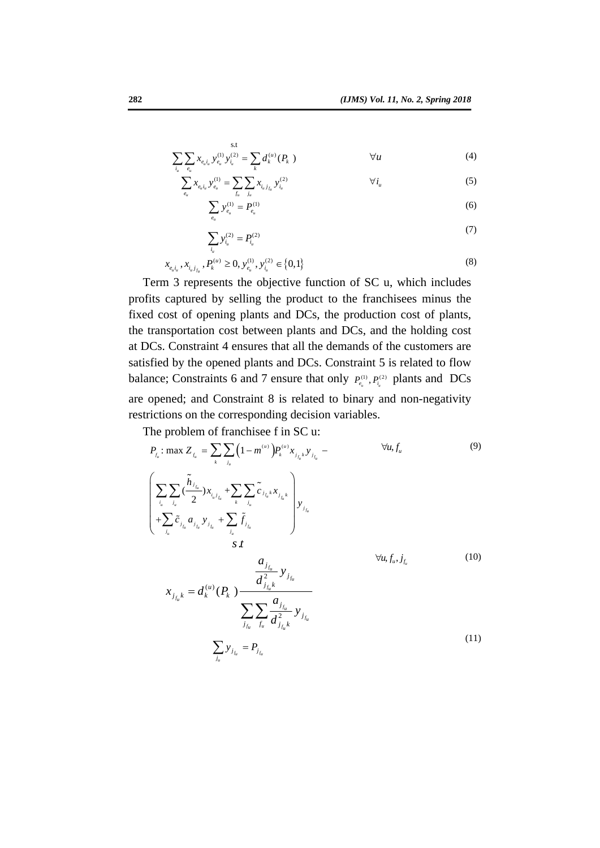$$
\sum_{i_u} \sum_{e_u} x_{e_u i_u} y_{i_u}^{(1)} y_{i_u}^{(2)} = \sum_k d_k^{(u)}(P_k)
$$
  $\forall u$  (4)

$$
\sum_{e_u} x_{e_u i_u} y_{e_u}^{(1)} = \sum_{f_u} \sum_{j_u} x_{i_u j_{f_u}} y_{i_u}^{(2)}
$$
\n
$$
\sum_{e_u} y_{e_u}^{(1)} = P_{e_u}^{(1)}
$$
\n(5)

$$
\sum_{i_u} y_{i_u}^{(2)} = P_{i_u}^{(2)} \tag{7}
$$

$$
x_{e_{u}i_{u}}, x_{i_{u}j_{j_{u}}}, P_{k}^{(u)} \ge 0, y_{e_{u}}^{(1)}, y_{i_{u}}^{(2)} \in \{0, 1\}
$$
\n
$$
(8)
$$

 $e_u$  =  $e_u$ 

Term 3 represents the objective function of SC u, which includes profits captured by selling the product to the franchisees minus the fixed cost of opening plants and DCs, the production cost of plants, the transportation cost between plants and DCs, and the holding cost at DCs. Constraint 4 ensures that all the demands of the customers are satisfied by the opened plants and DCs. Constraint 5 is related to flow balance; Constraints 6 and 7 ensure that only  $P_e^{(1)}, P_{i}^{(2)}$  plants and DCs are opened; and Constraint 8 is related to binary and non-negativity restrictions on the corresponding decision variables.

The problem of franchisee f in SC u:

$$
x_{e,i_1}x_{i_1j_1} P_k^{(u)} \ge 0, y_e^{(0)}, y_{i_1}^{(2)} \in \{0,1\}
$$
  
\nTerm 3 represents the objective function of SC u, which includes  
\nprofits captured by selling the product to the **franchisees** minus the  
\nfixed cost of opening plants and DCs, the production cost of plants,  
\nthe transportation cost between plants and DCs, and the holding cost  
\nat DCs. Constant 4 ensures that all the demands of the customers are  
\nsatisfied by the opened plants and DCs. Constant 5 is related to flow  
\nbalance; Constraints 6 and 7 ensure that only  $P_k^{(0)}, P_k^{(2)}$  plants and DCs  
\nare opened; and Constant 8 is related to binary and non-negativity  
\nrestrictions on the corresponding decision variables.  
\nThe problem of **franchisee** f in SCJ:  
\n
$$
P_{i_1}: \max Z_{j_1} = \sum_k \sum_{j_k} (1 - m_k^{(0)}) P_k^{(0)} x_{j_{j_k}y_{j_{j_k}}} - \frac{\forall u, f_u \qquad (9)}{\forall u, f_u}
$$
\n
$$
\left(\sum_{i_1} \sum_{j_k} \sum_{j_k} \sum_{j_k} \sum_{j_{j_k}} \sum_{j_{j_k}} \sum_{j_{j_k}} \sum_{j_{j_k}} \sum_{j_{j_k}} \sum_{j_{j_k}} \sum_{j_{j_k}} \sum_{j_{j_k}} \sum_{j_{j_k}} \sum_{j_{j_k}} \sum_{j_{j_k}} \sum_{j_{j_k}} \sum_{j_{j_k}} \sum_{j_{j_k}} \sum_{j_{j_k}} \sum_{j_{j_k}} \sum_{j_{j_k}} \sum_{j_{j_k}} \sum_{j_{j_k}} \sum_{j_{j_k}} \sum_{j_{j_k}} \sum_{j_{j_k}} \sum_{j_{j_k}} \sum_{j_{j_k}} \sum_{j_{j_k}} \sum_{j_{j_k}} \sum_{j_{j_k}} \sum_{j_{j_k}} \sum_{j_{j_k}} \sum_{j_{j_k}} \sum_{j_{j_k}} \sum_{j_{j_k}} \sum_{j_{j_k}} \sum_{j_{j_k}} \sum_{j_{j_k}} \sum_{j_{j_k}} \sum_{j_{j_k}} \sum_{j_{j_k}} \sum_{j_{j_k}} \sum_{j_{j_k}} \sum_{j_{j_k}} \sum_{j_{j_k}} \sum_{j_{j_k}} \sum_{j_{j_k}} \sum_{j_{j_k}} \sum_{j_{j_k}} \sum_{j_{j_k}} \sum_{j_{j_k}} \sum_{j_{j_k
$$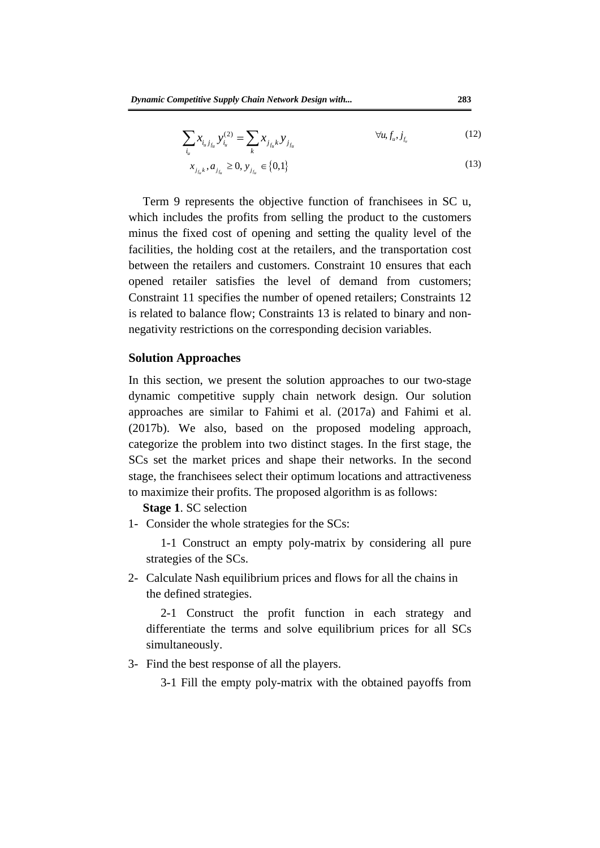$$
\sum_{i_u} x_{i_u j_{f_u}} y_{i_u}^{(2)} = \sum_k x_{j_{f_u} k} y_{j_{f_u}} \qquad \forall u, f_u, j_{f_u}
$$
 (12)

$$
x_{j_{f_u}} \, z, a_{j_{f_u}} \ge 0, \, y_{j_{f_u}} \in \{0, 1\} \tag{13}
$$

Term 9 represents the objective function of franchisees in SC u, which includes the profits from selling the product to the customers minus the fixed cost of opening and setting the quality level of the facilities, the holding cost at the retailers, and the transportation cost between the retailers and customers. Constraint 10 ensures that each opened retailer satisfies the level of demand from customers; Constraint 11 specifies the number of opened retailers; Constraints 12 is related to balance flow; Constraints 13 is related to binary and nonnegativity restrictions on the corresponding decision variables.

#### **Solution Approaches**

facilities, the holding cost at the retailers, and the transportation cost<br>between the retailers and customers. Constraint 10 ensures that each<br>opened retailer satisfies the level of demand from customers;<br>Constraint 11 s In this section, we present the solution approaches to our two-stage dynamic competitive supply chain network design. Our solution approaches are similar to Fahimi et al. (2017a) and Fahimi et al. (2017b). We also, based on the proposed modeling approach, categorize the problem into two distinct stages. In the first stage, the SCs set the market prices and shape their networks. In the second stage, the franchisees select their optimum locations and attractiveness to maximize their profits. The proposed algorithm is as follows:

#### **Stage 1**. SC selection

- 1- Consider the whole strategies for the SCs:
	- 1-1 Construct an empty poly-matrix by considering all pure strategies of the SCs.
- 2- Calculate Nash equilibrium prices and flows for all the chains in the defined strategies.

2-1 Construct the profit function in each strategy and differentiate the terms and solve equilibrium prices for all SCs simultaneously.

3- Find the best response of all the players.

3-1 Fill the empty poly-matrix with the obtained payoffs from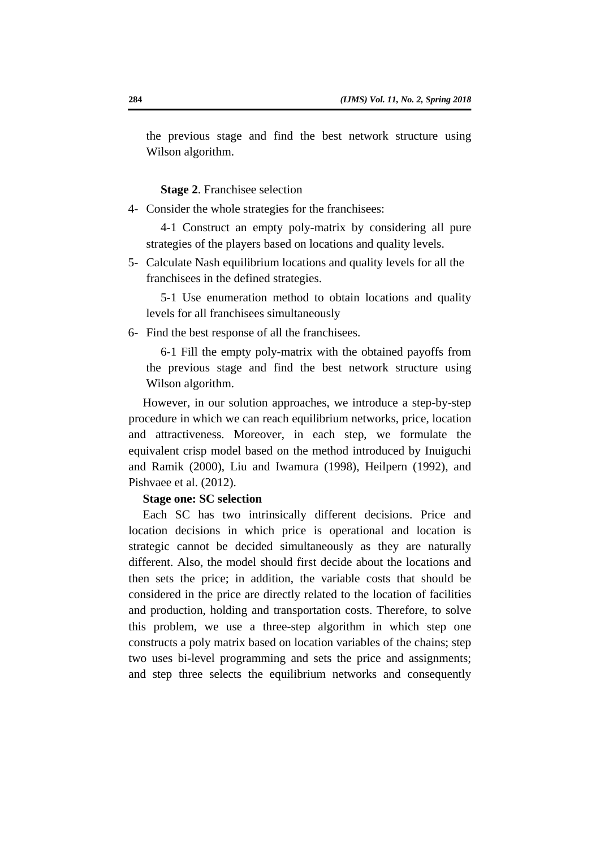the previous stage and find the best network structure using Wilson algorithm.

**Stage 2**. Franchisee selection

4- Consider the whole strategies for the franchisees:

4-1 Construct an empty poly-matrix by considering all pure strategies of the players based on locations and quality levels.

5- Calculate Nash equilibrium locations and quality levels for all the franchisees in the defined strategies.

5-1 Use enumeration method to obtain locations and quality levels for all franchisees simultaneously

6- Find the best response of all the franchisees.

6-1 Fill the empty poly-matrix with the obtained payoffs from the previous stage and find the best network structure using Wilson algorithm.

strategies of the players based on locations and quality levels.<br>
5- Calculate Nash equilibrium locations and quality levels for all the<br>
franchisees in the defined strategies.<br>
5-1 Use enumeration method to obtain locatio However, in our solution approaches, we introduce a step-by-step procedure in which we can reach equilibrium networks, price, location and attractiveness. Moreover, in each step, we formulate the equivalent crisp model based on the method introduced by Inuiguchi and Ramik (2000), Liu and Iwamura (1998), Heilpern (1992), and Pishvaee et al. (2012).

#### **Stage one: SC selection**

Each SC has two intrinsically different decisions. Price and location decisions in which price is operational and location is strategic cannot be decided simultaneously as they are naturally different. Also, the model should first decide about the locations and then sets the price; in addition, the variable costs that should be considered in the price are directly related to the location of facilities and production, holding and transportation costs. Therefore, to solve this problem, we use a three-step algorithm in which step one constructs a poly matrix based on location variables of the chains; step two uses bi-level programming and sets the price and assignments; and step three selects the equilibrium networks and consequently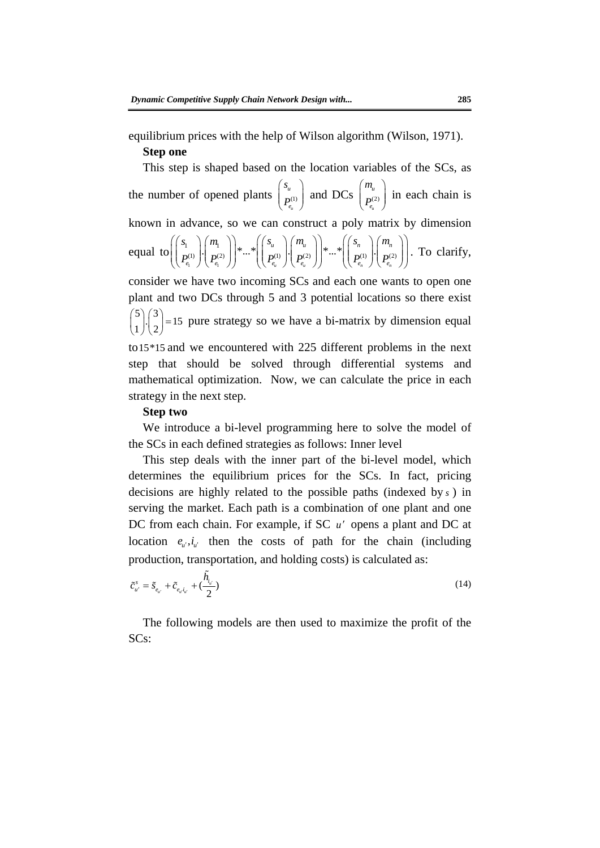equilibrium prices with the help of Wilson algorithm (Wilson, 1971). **Step one**

equal to  $\left(\begin{bmatrix} x_1 \\ p_1 \\ p_2 \end{bmatrix}\right) \begin{bmatrix} a_1 \\ m_1 \\ p_2 \end{bmatrix} \begin{bmatrix} a_2 \\ p_2 \\ p_3 \end{bmatrix} \begin{bmatrix} a_1 \\ p_3 \\ p_4 \end{bmatrix} \begin{bmatrix} a_2 \\ p_4 \\ p_5 \end{bmatrix} \begin{bmatrix} a_1 \\ p_5 \\ p_6 \end{bmatrix} \begin{bmatrix} a_2 \\ p_6 \\ p_6 \end{bmatrix} \begin{bmatrix} a_3 \\ p_6 \\ p_6 \end{bmatrix} \begin{bmatrix} a_2 \\ p_6 \\ p_6 \end{bmatrix}$ This step is shaped based on the location variables of the SCs, as the number of opened plants  $\begin{bmatrix} u \\ p^{(1)} \end{bmatrix}$  $\begin{pmatrix} s_u \\ P_{e_u}^{(1)} \end{pmatrix}$  and DCs  $\begin{pmatrix} m_u \\ P_{e_u}^{(2)} \end{pmatrix}$  in each chain is known in advance, so we can construct a poly matrix by dimension equal to  $1$   $\vee$   $e_1$  $\left|\frac{1}{10^{(1)}}\right|, \left|\frac{1}{10^{(2)}}\right|, \left|\frac{1}{10^{(2)}}\right|, \left|\frac{1}{10^{(1)}}\right|, \left|\frac{1}{10^{(2)}}\right|, \left|\frac{1}{10^{(2)}}\right|, \left|\frac{1}{10^{(2)}}\right|, \left|\frac{1}{10^{(2)}}\right|, \left|\frac{1}{10^{(2)}}\right|, \left|\frac{1}{10^{(2)}}\right|, \left|\frac{1}{10^{(2)}}\right|, \left|\frac{1}{10^{(2)}}\right|, \left|\frac{1}{10^{(2)}}\right|$  $\mathcal{C}_u$  *n*  $\mathcal{C}_u$  *n*  $\mathcal{C}_u$  *n*  $\mathcal{C}_n$  *n*  $\mathcal{C}_n$  *n*  $\mathcal{C}_n$ *uu nn*  $e_i$   $\left(\begin{array}{cc} I & e_i \\ e_i & I \end{array}\right)$   $\left(\begin{array}{cc} I & e_i \\ e_i & I \end{array}\right)$   $\left(\begin{array}{cc} I & e_i \\ e_i & I \end{array}\right)$  $s_{n} \setminus (m_{n} \setminus) \qquad ((s_{n} \setminus (m_{n} \setminus)) \qquad ((s_{n} \setminus (m_{n} \setminus))$  $\left( \begin{pmatrix} s_1 \ p_{e_1}^{(1)} \end{pmatrix} \begin{pmatrix} m_1 \ p_{e_1}^{(2)} \end{pmatrix} \right) \ast ... \ast \left( \begin{pmatrix} s_u \ p_{e_u}^{(1)} \end{pmatrix} \begin{pmatrix} m_u \ p_{e_u}^{(2)} \end{pmatrix} \right) \ast ... \ast \left( \begin{pmatrix} s_n \ p_{e_n}^{(1)} \end{pmatrix} \begin{pmatrix} m_n \ p_{e_n}^{(2)} \end{pmatrix} \right)$ . To clarify, consider we have two incoming SCs and each one wants to open one plant and two DCs through 5 and 3 potential locations so there exist  $\binom{5}{1}\cdot\binom{3}{2}$ =15 pure strategy so we have a bi-matrix by dimension equal to15\*15 and we encountered with 225 different problems in the next step that should be solved through differential systems and mathematical optimization. Now, we can calculate the price in each strategy in the next step.

#### **Step two**

We introduce a bi-level programming here to solve the model of the SCs in each defined strategies as follows: Inner level

This step deals with the inner part of the bi-level model, which determines the equilibrium prices for the SCs. In fact, pricing decisions are highly related to the possible paths (indexed by *s* ) in serving the market. Each path is a combination of one plant and one DC from each chain. For example, if SC u' opens a plant and DC at location  $e_{\mu}, i_{\mu'}$  then the costs of path for the chain (including production, transportation, and holding costs) is calculated as:

$$
\tilde{c}_{u'}^s = \tilde{\mathbf{s}}_{e_u} + \tilde{c}_{e_u i_{u'}} + (\frac{\tilde{h}_{i_{u'}}}{2})
$$
\n(14)

The following models are then used to maximize the profit of the SCs: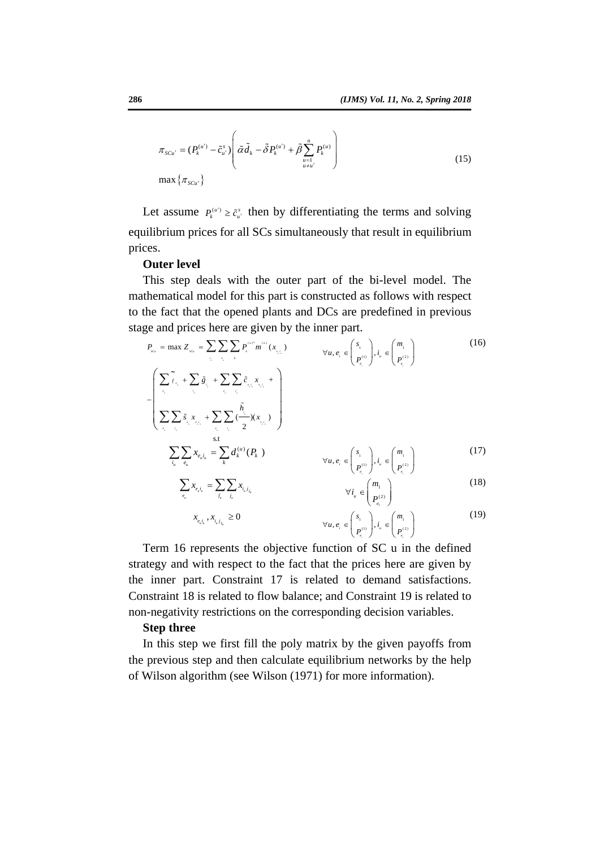$$
\pi_{SCu'} = (P_k^{(u')} - \tilde{c}_{u'}^s) \left( \tilde{\alpha} \tilde{d}_k - \tilde{\delta} P_k^{(u')} + \tilde{\beta} \sum_{\substack{u=1 \ u \neq u'}}^n P_k^{(u)} \right)
$$
\n
$$
\max \{ \pi_{SCu'} \}
$$
\n(15)

Let assume  $P_k^{(u')} \geq \tilde{c}_{u'}^s$  then by differentiating the terms and solving equilibrium prices for all SCs simultaneously that result in equilibrium prices.

#### **Outer level**

This step deals with the outer part of the bi-level model. The mathematical model for this part is constructed as follows with respect to the fact that the opened plants and DCs are predefined in previous stage and prices here are given by the inner part.

prices.  
\n**Outer level**  
\nThis step deals with the outer part of the bi-level model. The mathematical model for this part is constructed as follows with respect to the fact that the opened plants and DCs are predefined in previous stage and prices here are given by the inner part.  
\n
$$
P_m = \max Z_m = \sum \sum \sum P_i^{m'm'}(x_{n,i})
$$
\n
$$
= \left( \sum_{i=1}^{m} \sum_{i=1}^{n} \bar{z}_{i} + \sum \sum_{i=1}^{n} \bar{z}_{i} + \sum \sum_{i=1}^{n} \bar{z}_{i} + \sum \sum_{i=1}^{n} \bar{z}_{i} + \sum \sum_{i=1}^{n} \bar{z}_{i} + \sum \sum_{i=1}^{n} \bar{z}_{i} + \sum \sum_{i=1}^{n} \bar{z}_{i} + \sum \sum_{i=1}^{n} \bar{z}_{i} + \sum \sum_{i=1}^{n} \bar{z}_{i} + \sum \sum_{i=1}^{n} \bar{z}_{i} + \sum \sum_{i=1}^{n} \bar{z}_{i} + \sum \sum_{i=1}^{n} \bar{z}_{i} + \sum \sum_{i=1}^{n} \bar{z}_{i} + \sum \sum_{i=1}^{n} \bar{z}_{i} + \sum \sum_{i=1}^{n} \bar{z}_{i} + \sum \sum_{i=1}^{n} \bar{z}_{i} + \sum \sum_{i=1}^{n} \bar{z}_{i} + \sum \sum_{i=1}^{n} \bar{z}_{i} + \sum \sum_{i=1}^{n} \bar{z}_{i} + \sum \sum_{i=1}^{n} \bar{z}_{i} + \sum \sum_{i=1}^{n} \bar{z}_{i} + \sum \sum_{i=1}^{n} \bar{z}_{i} + \sum \sum_{i=1}^{n} \bar{z}_{i} + \sum \sum_{i=1}^{n} \bar{z}_{i} + \sum \sum_{i=1}^{n} \bar{z}_{i} + \sum \sum_{i=1}^{n} \bar{z}_{i} + \sum \sum_{i=1}^{n} \bar{z}_{i} + \sum \sum_{i=1}^{n} \bar{z}_{i} + \sum \sum_{i=1}^{n} \bar{z}_{i} + \sum \sum_{i=1}^{n} \bar{z}_{i} + \sum \sum_{i=1}^{n} \bar{z}_{i} + \sum \sum_{i=1}^{n} \bar{z}_{i} + \sum
$$

Term 16 represents the objective function of SC u in the defined strategy and with respect to the fact that the prices here are given by the inner part. Constraint 17 is related to demand satisfactions. Constraint 18 is related to flow balance; and Constraint 19 is related to non-negativity restrictions on the corresponding decision variables.

#### **Step three**

In this step we first fill the poly matrix by the given payoffs from the previous step and then calculate equilibrium networks by the help of Wilson algorithm (see Wilson (1971) for more information).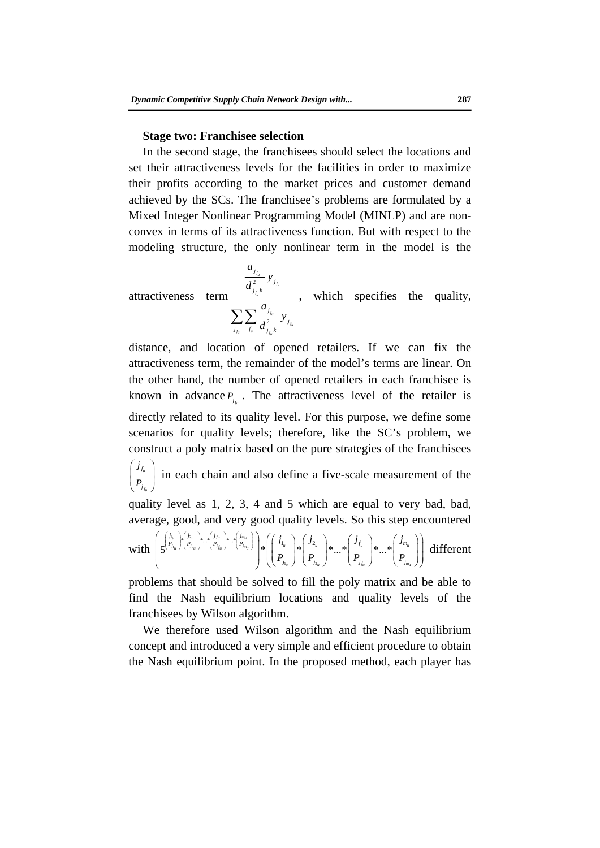#### **Stage two: Franchisee selection**

In the second stage, the franchisees should select the locations and set their attractiveness levels for the facilities in order to maximize their profits according to the market prices and customer demand achieved by the SCs. The franchisee's problems are formulated by a Mixed Integer Nonlinear Programming Model (MINLP) and are nonconvex in terms of its attractiveness function. But with respect to the modeling structure, the only nonlinear term in the model is the

attractiveness  $\frac{f_{f_h}}{2}$  $\frac{f_{f_u}}{2}$ *fu fu*  $\frac{d}{f_u} \frac{d}{f_u} \frac{d}{d} \int_{f_u}^{2} k^{1/2} \frac{d}{f_u}$ *j j j k j*  $\sum_{i} \sum_{f_i} \frac{a_{j_{f_i}}}{d_{i,k}^2} y_j$  $\frac{a_{j_{f_u}}}{d_{j_{f_u}}^2} y_j$ <br>  $\sum_{j_{f_u}} \sum_{f_u} \frac{a_{j_{f_u}}}{d_{j_{f_u}}^2}$ , which specifies the quality,

modeling structure, the only nonlinear term in the model is the<br>  $\frac{a_{j_{k}}}{d_{j_{k}}^{2}} y_{j_{k}}$ <br>
attractiveness term  $\frac{a_{j_{k}}}{d_{j_{k}}^{2}} y_{j_{k}}$ , which specifies the quality,<br>  $\sum_{k} \sum_{i} \frac{a_{j_{k}}}{d_{j_{k}}^{2}} y_{j_{k}}$ <br>
distance, distance, and location of opened retailers. If we can fix the attractiveness term, the remainder of the model's terms are linear. On the other hand, the number of opened retailers in each franchisee is known in advance  $P_{j_{r}}$ . The attractiveness level of the retailer is directly related to its quality level. For this purpose, we define some scenarios for quality levels; therefore, like the SC's problem, we construct a poly matrix based on the pure strategies of the franchisees  $\begin{pmatrix} i_{f_u} \\ P_{j_{f_u}} \end{pmatrix}$  in each chain and also define a five-scale measurement of the quality level as 1, 2, 3, 4 and 5 which are equal to very bad, bad, average, good, and very good quality levels. So this step encountered

with  $1, -1$  2  $n_{\rm u}$  ) 2  $I_{1_{\mathcal{U}}}$   $\bigcup$   $I_{2}$  $\left\{\mathcal{P}_{j_{i_n}}^{u_n}\right\}_{i=1}^{\infty}$  ...\*  $\left\{\mathcal{P}_{j_{j_n}}^{u_n}\right\}_{i=1}^{\infty}$  ...\*  $\left\{\mathcal{P}_{j_{j_n}}^{u_n}\right\}_{\infty}$  ....\*  $u = \frac{1}{2}u$   $x = \frac{1}{2}$  *f*  $u = \frac{1}{2}$  *k*  $x = \frac{1}{2}$  *m*  $\left|f_{u_{u}}\right\rangle \left|f_{u}\right\rangle =\left|f_{j_{u}}\right\rangle -\left|f_{j_{m_{u}}}\right\rangle \left|g_{u}\right| +\left|f_{u}\right| -\left|g_{u}\right| \left|g_{u}\right| +\left|g_{u}\right| \left|g_{u}\right| \left|g_{u}\right| +\left|g_{u}\right| \left|g_{u}\right| \left|g_{u}\right| \left|g_{u}\right| \left|g_{u}\right| \left|g_{u}\right| \left|g_{u}\right| \left|g_{u}\right| \left|g_{u}\right| \left|g_{u}\right| \left|g_{u}\right| \$ *u J*  $\left(\begin{array}{cc}J_{2u} \end{array}\right)$   $\left(\begin{array}{cc}J_{f_u} \end{array}\right)$   $\left(\begin{array}{cc}J_{m_u} \end{array}\right)$  $j_1$   $\setminus j_2$   $\setminus j_1$   $\setminus j$ *PP P P f m*  $j_{\rm L}$  *j*  $\begin{pmatrix} I_{j_{\rm L}} \end{pmatrix}$   $\begin{pmatrix} I_{j_{\rm L}} \end{pmatrix}$   $\begin{pmatrix} I_{j_{\rm L}} \end{pmatrix}$  $j_i$   $j_j$   $j_j$   $(j_{\epsilon})$   $(j_{\epsilon})$   $(j_{\epsilon})$  $P_i$  |  $P_i$  |  $\cdots$  |  $P_i$  |  $\cdots$  |  $P$  $\left(\begin{matrix} \left\{j_{l_u}\atop P_{j_{l_u}}\right\}v_{l_{u_u}}\vphantom{\int\limits^h}\right.^{j_{2_u}}\cdots\vphantom{\int\limits^h}\vphantom{\int\limits^h}\vphantom{\int\limits^h}\vphantom{\int\limits^h}\vphantom{\int\limits^h}\vphantom{\int\limits^h}\vphantom{\int\limits^h}\vphantom{\int\limits^h}\vphantom{\int\limits^h}\vphantom{\int\limits^h}\vphantom{\int\limits^h}\vphantom{\int\limits^h}\vphantom{\int\limits^h}\vphantom{\int\limits^h}\vphantom{\int\limits^h}\vphantom{\int\limits^h}\vphant$  $\left(\begin{array}{cc} I_{j_{l_u}} \end{array}\right) \left(\begin{array}{cc} I_{j_{l_u}} \end{array}\right) \left(\begin{array}{cc} I_{j_{l_u}} \end{array}\right) \left(\begin{array}{cc} I_{j_{l_u}} \end{array}\right)$ different

problems that should be solved to fill the poly matrix and be able to find the Nash equilibrium locations and quality levels of the franchisees by Wilson algorithm.

We therefore used Wilson algorithm and the Nash equilibrium concept and introduced a very simple and efficient procedure to obtain the Nash equilibrium point. In the proposed method, each player has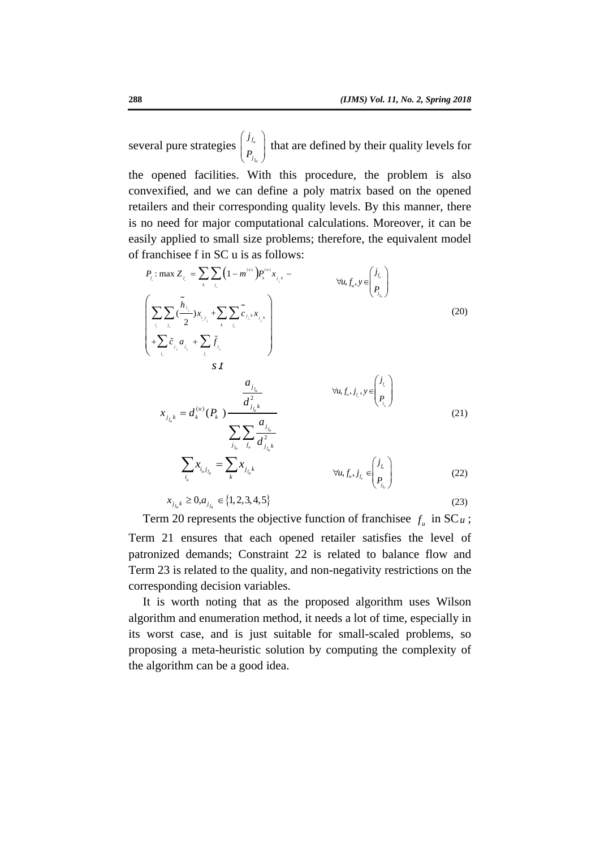several pure strategies  $\begin{pmatrix} j_{f_u} \\ P_{j_{f_u}} \end{pmatrix}$  that are defined by their quality levels for the opened facilities. With this procedure, the problem is also convexified, and we can define a poly matrix based on the opened retailers and their corresponding quality levels. By this manner, there is no need for major computational calculations. Moreover, it can be easily applied to small size problems; therefore, the equivalent model of franchisee f in SC u is as follows:



Term 20 represents the objective function of franchisee  $f_u$  in SC  $u$ ; Term 21 ensures that each opened retailer satisfies the level of patronized demands; Constraint 22 is related to balance flow and Term 23 is related to the quality, and non-negativity restrictions on the corresponding decision variables.

It is worth noting that as the proposed algorithm uses Wilson algorithm and enumeration method, it needs a lot of time, especially in its worst case, and is just suitable for small-scaled problems, so proposing a meta-heuristic solution by computing the complexity of the algorithm can be a good idea.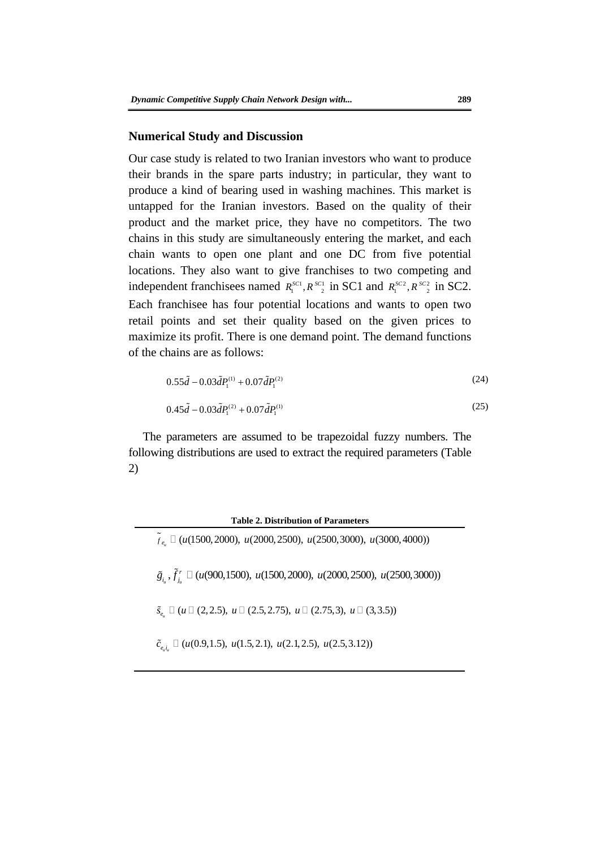#### **Numerical Study and Discussion**

chain wants to open one plant and one DC from five potential<br>chain wants to open one plant and one DC from five potential<br>locations. They also want to give franchises to two competing and<br>independent franchisees named  $R_i$ Our case study is related to two Iranian investors who want to produce their brands in the spare parts industry; in particular, they want to produce a kind of bearing used in washing machines. This market is untapped for the Iranian investors. Based on the quality of their product and the market price, they have no competitors. The two chains in this study are simultaneously entering the market, and each chain wants to open one plant and one DC from five potential locations. They also want to give franchises to two competing and independent franchisees named  $R_1^{SCI}$ ,  $R_{2}^{SCI}$  in SC1 and  $R_1^{SCA}$ ,  $R_{2}^{SCA}$  in SC2. Each franchisee has four potential locations and wants to open two retail points and set their quality based on the given prices to maximize its profit. There is one demand point. The demand functions of the chains are as follows:

$$
0.55\tilde{d} - 0.03\tilde{d}P_1^{(1)} + 0.07\tilde{d}P_1^{(2)}
$$
\n(24)

$$
0.45\tilde{d} - 0.03\tilde{d}P_1^{(2)} + 0.07\tilde{d}P_1^{(1)}
$$
\n(25)

The parameters are assumed to be trapezoidal fuzzy numbers. The following distributions are used to extract the required parameters (Table 2)

**Table 2. Distribution of Parameters**  ( $u(1500,2000)$ ,  $u(2000,2500)$ ,  $u(2500,3000)$ ,  $u(3000,4000)$ )  $\tilde{g}_{i_{u}}, \tilde{f}_{j_{u}}^r \sqcup (u(900,1500), u(1500,2000), u(2000,2500), u(2500,3000))$  $f_{j_u}^r, \tilde{f}_{j_u}^r$  $\tilde{S}_{e_{\mu}} \square \ (\mu \square \ (2,2.5), \ u \square \ (2.5,2.75), \ u \square \ (2.75,3), \ u \square \ (3,3.5))$ 

 $\tilde{c}_{e,i} \Box (u(0.9,1.5), u(1.5,2.1), u(2.1,2.5), u(2.5,3.12))$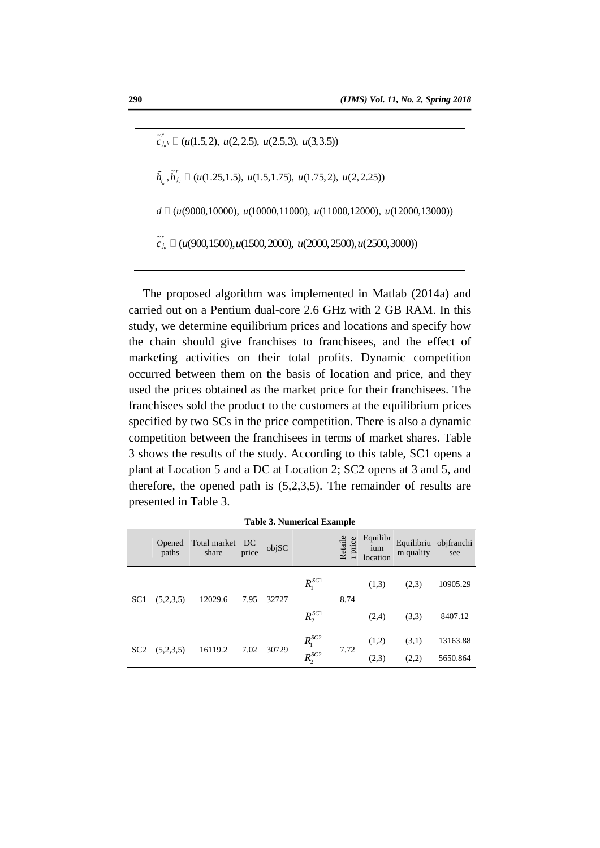$u_{u_k} \Box$  ( $u(1.5, 2), u(2, 2.5), u(2.5, 3), u(3, 3.5)$ ) *r*  $\tilde{h}_i$ ,  $\tilde{h}'_i$ ,  $\Box$  (*u*(1.25,1.5), *u*(1.5,1.75), *u*(1.75,2), *u*(2,2.25))  $d \Box$  ( $u$ (9000,10000),  $u$ (10000,11000),  $u$ (11000,12000),  $u$ (12000,13000))  $\tilde{c}_{j_u}^r \Box$  (u(900,1500), u(1500, 2000), u(2000, 2500), u(2500, 3000))

 $c_k$   $\Box$  (*u*(900,1500),*u*(1500,2000), *u*(200,2500),*u*(2500,300))<br>
The proposed algorithm was implemented in Matlab (2014a) and<br>
carried out on a Pentium dual-core 2.6 GHz with 2 GB RAM. In this<br>
study, we determine e The proposed algorithm was implemented in Matlab (2014a) and carried out on a Pentium dual-core 2.6 GHz with 2 GB RAM. In this study, we determine equilibrium prices and locations and specify how the chain should give franchises to franchisees, and the effect of marketing activities on their total profits. Dynamic competition occurred between them on the basis of location and price, and they used the prices obtained as the market price for their franchisees. The franchisees sold the product to the customers at the equilibrium prices specified by two SCs in the price competition. There is also a dynamic competition between the franchisees in terms of market shares. Table 3 shows the results of the study. According to this table, SC1 opens a plant at Location 5 and a DC at Location 2; SC2 opens at 3 and 5, and therefore, the opened path is (5,2,3,5). The remainder of results are presented in Table 3.

|                 |                 |                          |       |       | Table 9. Pullicrical Example                                               |                    |                             |           |                              |
|-----------------|-----------------|--------------------------|-------|-------|----------------------------------------------------------------------------|--------------------|-----------------------------|-----------|------------------------------|
|                 | Opened<br>paths | Total market DC<br>share | price | objSC |                                                                            | Retaile<br>r price | Equilibr<br>ium<br>location | m quality | Equilibriu objfranchi<br>see |
| SC <sub>1</sub> | (5,2,3,5)       | 12029.6                  | 7.95  | 32727 | $R_{1}^{SC1}$                                                              | 8.74               | (1,3)                       | (2,3)     | 10905.29                     |
|                 |                 |                          |       |       | $R_2^{SC1}$                                                                |                    | (2,4)                       | (3,3)     | 8407.12                      |
| SC <sub>2</sub> | (5,2,3,5)       | 16119.2                  | 7.02  | 30729 | $\begin{array}{l} R_{\mathrm{l}}^{SC2}\\ R_{\mathrm{2}}^{SC2} \end{array}$ | 7.72               | (1,2)                       | (3,1)     | 13163.88                     |
|                 |                 |                          |       |       |                                                                            |                    | (2,3)                       | (2,2)     | 5650.864                     |

**Table 3. Numerical Example**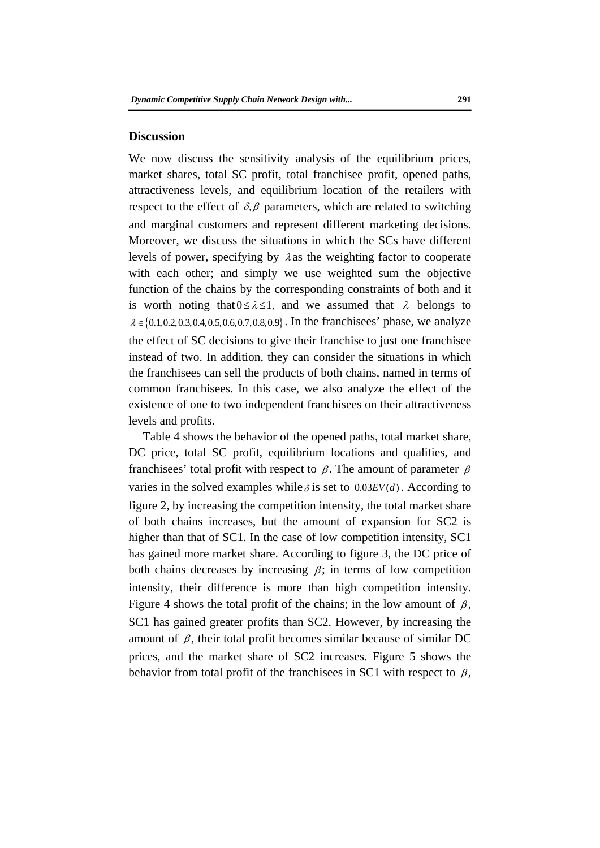#### **Discussion**

Notice of power, specifying by  $\lambda$  as the weighting factor to competent<br>levels of power, repectiving by  $\lambda$  as the weighting factor to competent<br>with each other; and simply we use weighted sum the objective<br>function of We now discuss the sensitivity analysis of the equilibrium prices, market shares, total SC profit, total franchisee profit, opened paths, attractiveness levels, and equilibrium location of the retailers with respect to the effect of  $\delta$ ,  $\beta$  parameters, which are related to switching and marginal customers and represent different marketing decisions. Moreover, we discuss the situations in which the SCs have different levels of power, specifying by  $\lambda$  as the weighting factor to cooperate with each other; and simply we use weighted sum the objective function of the chains by the corresponding constraints of both and it is worth noting that  $0 \le \lambda \le 1$ , and we assumed that  $\lambda$  belongs to  $\lambda \in \{0.1, 0.2, 0.3, 0.4, 0.5, 0.6, 0.7, 0.8, 0.9\}$ . In the franchises' phase, we analyze the effect of SC decisions to give their franchise to just one franchisee instead of two. In addition, they can consider the situations in which the franchisees can sell the products of both chains, named in terms of common franchisees. In this case, we also analyze the effect of the existence of one to two independent franchisees on their attractiveness levels and profits.

Table 4 shows the behavior of the opened paths, total market share, DC price, total SC profit, equilibrium locations and qualities, and franchisees' total profit with respect to  $\beta$ . The amount of parameter  $\beta$ varies in the solved examples while  $\delta$  is set to  $0.03EV(d)$ . According to figure 2, by increasing the competition intensity, the total market share of both chains increases, but the amount of expansion for SC2 is higher than that of SC1. In the case of low competition intensity, SC1 has gained more market share. According to figure 3, the DC price of both chains decreases by increasing  $\beta$ ; in terms of low competition intensity, their difference is more than high competition intensity. Figure 4 shows the total profit of the chains; in the low amount of  $\beta$ , SC1 has gained greater profits than SC2. However, by increasing the amount of  $\beta$ , their total profit becomes similar because of similar DC prices, and the market share of SC2 increases. Figure 5 shows the behavior from total profit of the franchisees in SC1 with respect to  $\beta$ ,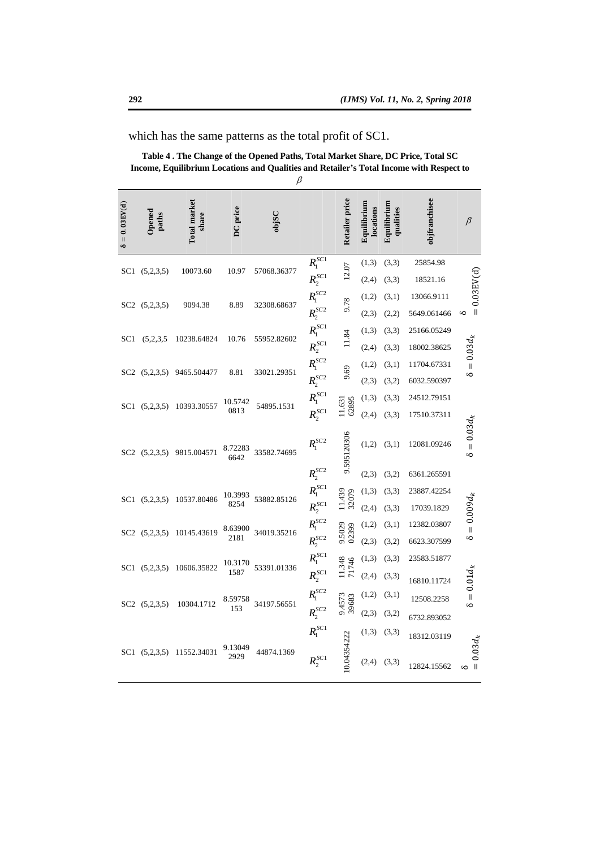|                    |                        |                       |                                                | $\beta$     |                               |                 |                          |                          |                            |                     |
|--------------------|------------------------|-----------------------|------------------------------------------------|-------------|-------------------------------|-----------------|--------------------------|--------------------------|----------------------------|---------------------|
| $= 0.03EV(d)$<br>s | <b>Opened</b><br>paths | Total market<br>share | DC price                                       | objSC       |                               | Retailer price  | Equilibrium<br>locations | Equilibrium<br>qualities | objfranchisee              | $\beta$             |
| SC1                | (5,2,3,5)              | 10073.60              | 10.97                                          | 57068.36377 | R <sub>1</sub> <sup>SC1</sup> | 12.07           | (1,3)                    | (3,3)                    | 25854.98                   |                     |
|                    |                        |                       |                                                |             | $R_2^{SC1}$                   |                 | (2,4)                    | (3,3)                    | 18521.16                   |                     |
|                    | SC2 (5,2,3,5)          | 9094.38               | 8.89                                           | 32308.68637 | $R_1^{SC2}$<br>$R_2^{SC2}$    | 9.78            | (1,2)<br>(2,3)           | (3,1)<br>(2,2)           | 13066.911<br>5649.061466   | $= 0.03$ EV(d)<br>S |
| SC1                | (5,2,3,5)              | 10238.64824           | 10.76                                          | 55952.82602 | R <sub>1</sub> <sup>SC1</sup> |                 | (1,3)                    | (3,3)                    | 25166.05249                |                     |
|                    |                        |                       |                                                |             | $\frac{R_2^{SC1}}{R_1^{SC2}}$ |                 | (2,4)                    | (3,3)                    | 18002.38625                | $= 0.03 d_k$        |
| SC2                | (5,2,3,5)              | 9465.504477           | 8.81                                           | 33021.29351 | $R^{SC2}_2$                   |                 | (1,2)<br>(2,3)           | (3,1)<br>(3,2)           | 11704.67331<br>6032.590397 | 6                   |
|                    |                        |                       |                                                |             | $R^{S\check{C}}_1$            |                 | (1,3)                    | (3,3)                    | 24512.79151                |                     |
| SC1                | (5,2,3,5)              | 10393.30557           | 10.5742<br>0813                                | 54895.1531  | $R_2^{SC1}$                   | 628             | (2, 4)                   | (3,3)                    | 17510.37311                |                     |
|                    | SC2 (5,2,3,5)          | 9815.004571           | 8.72283<br>6642                                | 33582.74695 | $R_{1}^{SC2}$                 | 9.595120306     | (1,2)                    | (3,1)                    | 12081.09246                | $= 0.03 d_k$<br>S   |
|                    |                        |                       |                                                |             | $R_2^{SC2}$                   |                 | (2,3)                    | (3,2)                    | 6361.265591                |                     |
| SC <sub>1</sub>    | (5,2,3,5)              | 10537,80486           | 10.3993<br>8254                                | 53882.85126 | R <sub>1</sub> <sup>SC1</sup> | 11.439<br>32079 | (1,3)                    | (3,3)                    | 23887.42254                |                     |
|                    |                        |                       |                                                |             | $R_2^{SC1}$                   |                 | (2, 4)                   | (3,3)                    | 17039.1829                 | $\delta=0.009d_k$   |
| SC <sub>2</sub>    | (5,2,3,5)              | 10145.43619           | .63900                                         | 34019.35216 | $R_1^{SC2}$                   | 9.5029<br>02399 | (1,2)                    | (3,1)                    | 12382.03807                |                     |
|                    |                        |                       | 2181                                           |             | $R_2^{SC2}$                   |                 | (2,3)                    | (3,2)                    | 6623.307599                |                     |
| SC <sub>1</sub>    | (5.2.3.5)              | 10606.35822           | $\begin{array}{c} 10.3170 \\ 1587 \end{array}$ | 53391.01336 | R <sub>1</sub> <sup>SC1</sup> | 11.348<br>71746 | (1,3)                    | (3,3)                    | 23583.51877                |                     |
|                    |                        |                       |                                                |             | $R_2^{SC1}$                   |                 | (2,4)                    | (3,3)                    | 16810.11724                | $0.01d_k$           |
| SC <sub>2</sub>    | (5,2,3,5)              | 10304.1712            | 8.59758<br>153                                 | 34197.56551 | R <sub>1</sub> <sup>SC2</sup> | 9.4573<br>39683 | (1,2)                    | (3,1)                    | 12508.2258                 | $\frac{1}{6}$       |
|                    |                        |                       |                                                |             | $R_2^{SC2}$                   |                 | (2,3)                    | (3,2)                    | 6732.893052                |                     |
|                    | SC1 (5,2,3,5)          | 11552.34031           | 9.13049                                        | 44874.1369  | $R_1^{SC1}$                   | 0.04354222      | (1,3)                    | (3,3)                    | 18312.03119                |                     |
|                    |                        |                       | 2929                                           |             | $R_2^{SC1}$                   |                 | (2,4)                    | (3,3)                    | 12824.15562                | $= 0.03 d_{k}$<br>S |

which has the same patterns as the total profit of SC1.

**Table 4 . The Change of the Opened Paths, Total Market Share, DC Price, Total SC Income, Equilibrium Locations and Qualities and Retailer's Total Income with Respect to**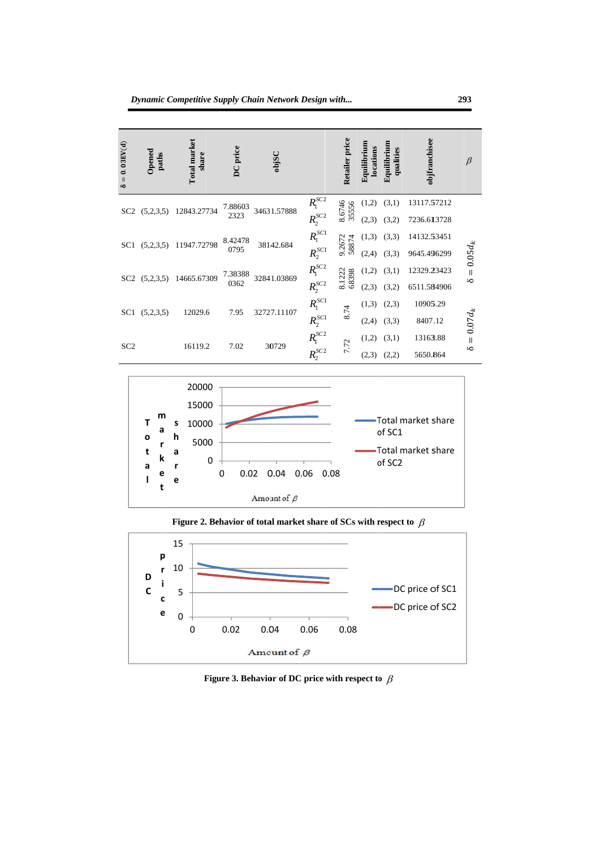

Figure 3. Behavior of DC price with respect to  $\beta$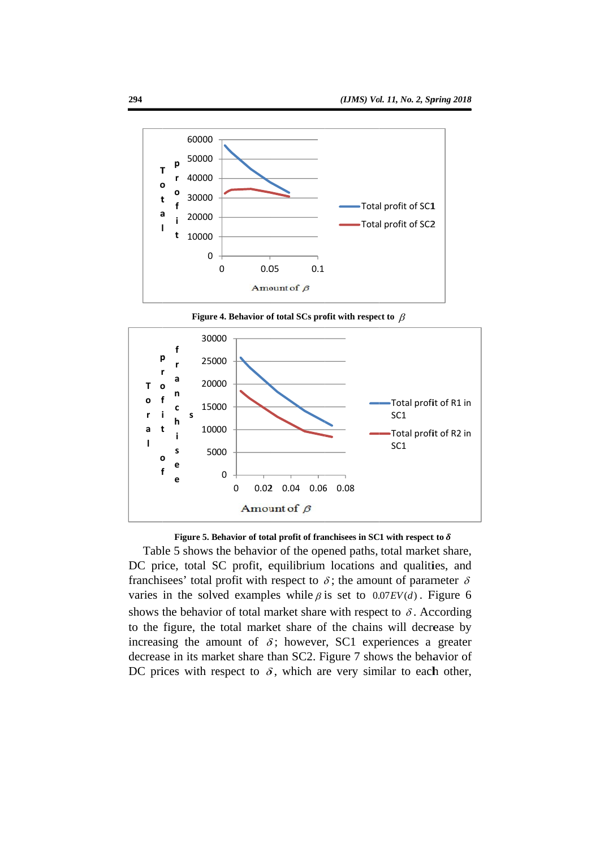

Table 5 shows the behavior of the opened paths, total market share, DC price, total SC profit, equilibrium locations and qualities, and franchisees' total profit with respect to  $\delta$ ; the amount of parameter  $\delta$ varies in the solved examples while  $\beta$  is set to 0.07 EV(d). Figure 6 shows the behavior of total market share with respect to  $\delta$ . According to the figure, the total market share of the chains will decrease by increasing the amount of  $\delta$ ; however, SC1 experiences a greater decrease in its market share than SC2. Figure 7 shows the behavior of DC prices with respect to  $\delta$ , which are very similar to each other,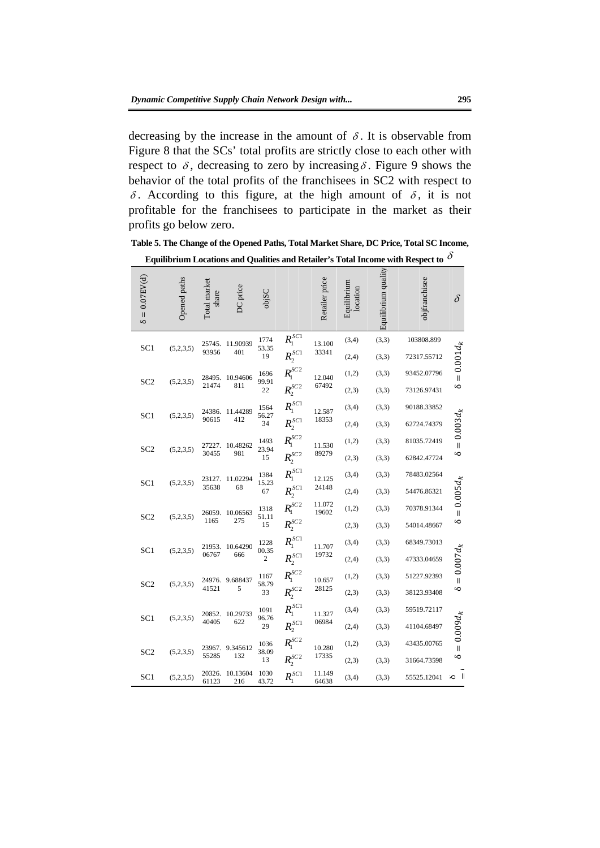decreasing by the increase in the amount of  $\delta$ . It is observable from Figure 8 that the SCs' total profits are strictly close to each other with respect to  $\delta$ , decreasing to zero by increasing  $\delta$ . Figure 9 shows the behavior of the total profits of the franchisees in SC2 with respect to  $\delta$ . According to this figure, at the high amount of  $\delta$ , it is not profitable for the franchisees to participate in the market as their profits go below zero.

**Table 5. The Change of the Opened Paths, Total Market Share, DC Price, Total SC Income,** 

Equilibrium Locations and Qualities and Retailer's Total Income with Respect to  $\delta$ 

|                     |              |                       |                 |                     |                               |                 |                         |                     | Table 5. The Change of the Opened Paths, Total Market Share, DC Price, Total SC Income, |               |
|---------------------|--------------|-----------------------|-----------------|---------------------|-------------------------------|-----------------|-------------------------|---------------------|-----------------------------------------------------------------------------------------|---------------|
|                     |              |                       |                 |                     |                               |                 |                         |                     | Equilibrium Locations and Qualities and Retailer's Total Income with Respect to O       |               |
| $= 0.07$ EV(d)<br>S | Opened paths | Total market<br>share | DC price        | objSC               |                               | Retailer price  | Equilibrium<br>location | Equilibrium quality | objfranchisee                                                                           | $\delta$      |
| SC <sub>1</sub>     | (5,2,3,5)    | 25745.<br>93956       | 11.90939<br>401 | 1774<br>53.35<br>19 | $R_1^{SC1}$<br>$R_2^{SC1}$    | 13.100<br>33341 | (3,4)<br>(2,4)          | (3,3)<br>(3,3)      | 103808.899<br>72317.55712                                                               |               |
| SC <sub>2</sub>     | (5,2,3,5)    | 28495.                | 10.94606        | 1696<br>99.91       | $R_1^{SC2}$                   | 12,040          | (1,2)                   | (3,3)               | 93452.07796                                                                             | $=0.001d_{k}$ |
|                     |              | 21474                 | 811             | 22                  | $R_2^{SC2}$                   | 67492           | (2,3)                   | (3,3)               | 73126.97431                                                                             | $\infty$      |
| SC <sub>1</sub>     | (5,2,3,5)    | 24386.                | 11.44289        | 1564<br>56.27       | $R_{\blacksquare}^{SC1}$      | 12.587          | (3,4)                   | (3,3)               | 90188.33852                                                                             |               |
|                     |              | 90615                 | 412             | 34                  | $R^{scr}_{2}$                 | 18353           | (2,4)                   | (3,3)               | 62724.74379                                                                             |               |
|                     |              | 27227.                | 10.48262        | 1493                | $R_1^{SC2}$                   | 11.530          | (1,2)                   | (3,3)               | 81035.72419                                                                             | $=0.003d_k$   |
| SC <sub>2</sub>     | (5,2,3,5)    | 30455                 | 981             | 23.94<br>15         | $R_2^{SC2}$                   | 89279           | (2,3)                   | (3,3)               | 62842.47724                                                                             | S             |
| SC <sub>1</sub>     | (5,2,3,5)    | 23127.                | 11.02294        | 1384<br>15,23       | $R_1^{SC1}$                   | 12.125          | (3,4)                   | (3,3)               | 78483.02564                                                                             |               |
|                     |              | 35638                 | 68              | 67                  | $R_2^{SC1}$                   | 24148           | (2,4)                   | (3,3)               | 54476.86321                                                                             |               |
| SC <sub>2</sub>     | (5,2,3,5)    |                       | 26059 10.06563  | 1318<br>51.11       | $R_1^{SC2}$                   | 11.072<br>19602 | (1,2)                   | (3,3)               | 70378.91344                                                                             | $=0.005d_k$   |
|                     |              | 1165                  | 275             | 15                  | $R_2^{SC2}$                   |                 | (2,3)                   | (3,3)               | 54014.48667                                                                             | S             |
| SC <sub>1</sub>     | (5,2,3,5)    | 21953.                | 10.64290        | 1228<br>00.35       | $R_1^{SC1}$                   | 11.707          | (3,4)                   | (3,3)               | 68349.73013                                                                             |               |
|                     |              | 06767                 | 666             | $\overline{c}$      | $R_2^{SC1}$                   | 19732           | (2,4)                   | (3,3)               | 47333.04659                                                                             |               |
| SC <sub>2</sub>     | (5,2,3,5)    | 24976.                | 9.688437        | 1167<br>58.79       | $R_1^{SC2}$                   | 10.657          | (1,2)                   | (3,3)               | 51227.92393                                                                             | $= 0.007 d_k$ |
|                     |              | 41521                 | 5               | 33                  | $R_2^{SC2}$                   | 28125           | (2,3)                   | (3,3)               | 38123.93408                                                                             | S             |
| SC <sub>1</sub>     | (5,2,3,5)    | 20852.                | 10.29733        | 1091<br>96.76       | $R_1^{SC1}$                   | 11.327          | (3,4)                   | (3,3)               | 59519.72117                                                                             |               |
|                     |              | 40405                 | 622             | 29                  | $R_2^{SC1}$                   | 06984           | (2,4)                   | (3,3)               | 41104.68497                                                                             |               |
|                     |              | 23967.                | 9.345612        | 1036                | R <sub>1</sub> <sup>SC2</sup> | 10.280          | (1,2)                   | (3,3)               | 43435.00765                                                                             | $=0.009d_{k}$ |
| SC <sub>2</sub>     | (5,2,3,5)    | 55285                 | 132             | 38.09<br>13         | $R_2^{SC2}$                   | 17335           | (2,3)                   | (3,3)               | 31664.73598                                                                             | S             |
| SC <sub>1</sub>     | (5,2,3,5)    | 20326.<br>61123       | 10.13604<br>216 | 1030<br>43.72       | $R_1^{SC1}$                   | 11.149<br>64638 | (3,4)                   | (3,3)               | 55525.12041                                                                             | $\sim$ 1      |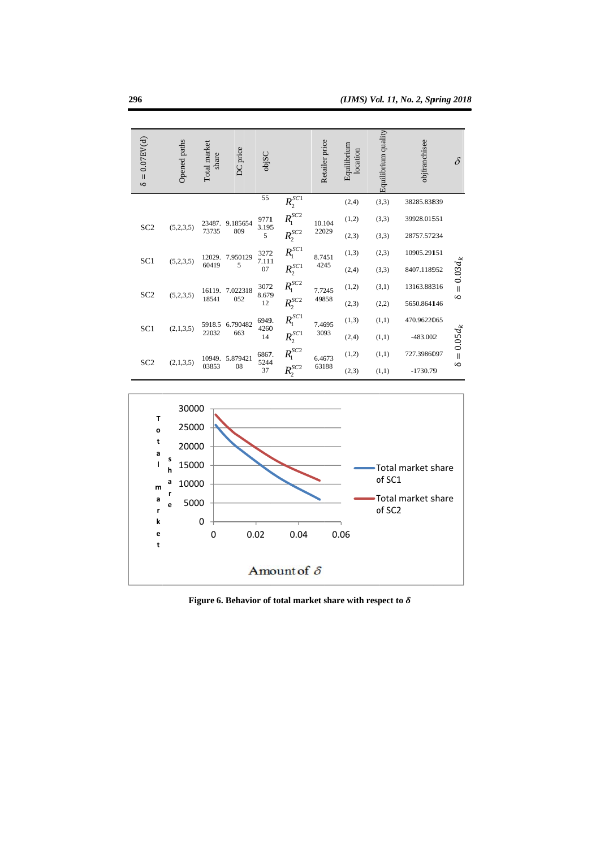

Figure 6. Behavior of total market share with respect to  $\delta$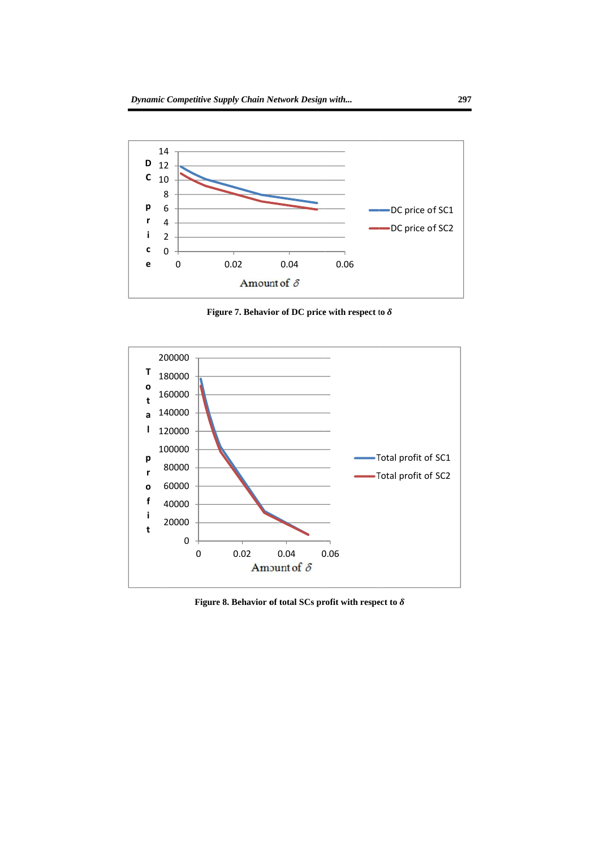

Figure 8. Behavior of total SCs profit with respect to  $\delta$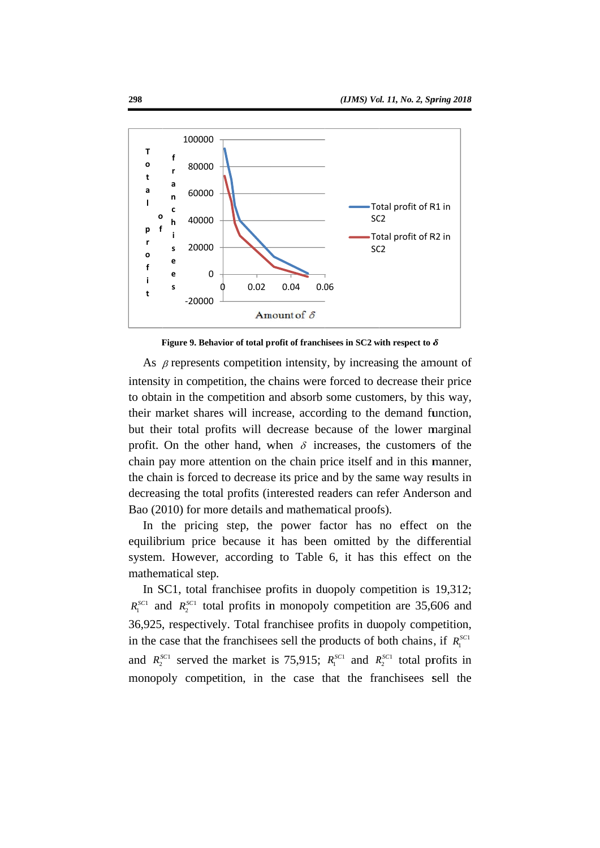



As  $\beta$  represents competition intensity, by increasing the amount of intensity in competition, the chains were forced to decrease their price to obtain in the competition and absorb some customers, by this way, their market shares will increase, according to the demand function, but their total profits will decrease because of the lower marginal profit. On the other hand, when  $\delta$  increases, the customers of the chain pay more attention on the chain price itself and in this manner, the chain is forced to decrease its price and by the same way results in decreasing the total profits (interested readers can refer Anderson and Bao (2010) for more details and mathematical proofs).

In the pricing step, the power factor has no effect on the equilibrium price because it has been omitted by the differential system. However, according to Table 6, it has this effect on the mathematical step.

In SC1, total franchise profits in duopoly competition is 19,312;  $R_1^{sC1}$  and  $R_2^{sC1}$  total profits in monopoly competition are 35,606 and 36,925, respectively. Total franchisee profits in duopoly competition, in the case that the franchisees sell the products of both chains, if  $R_1^{SC}$ and  $R_2^{sC1}$  served the market is 75,915;  $R_1^{sC1}$  and  $R_2^{sC1}$  total profits in monopoly competition, in the case that the franchisees sell the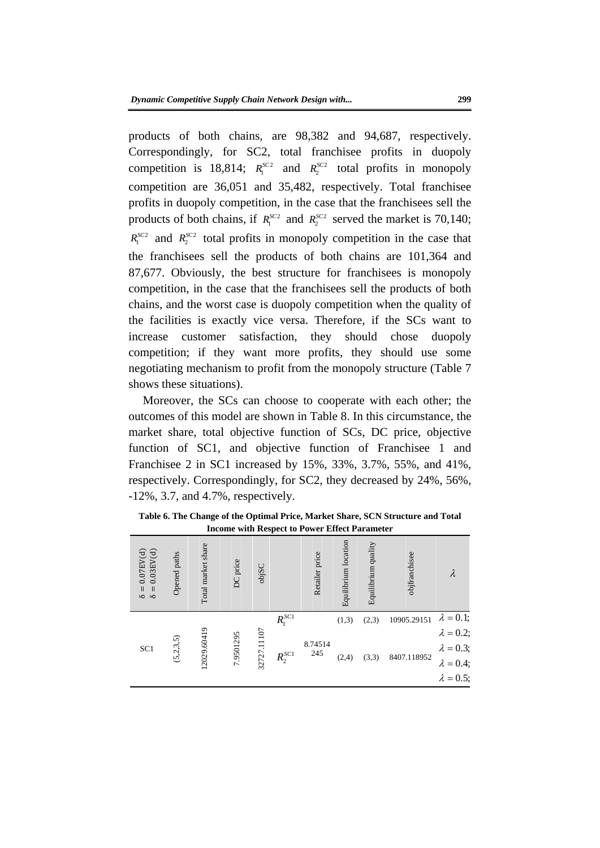For any solution of Best and products of both chains are 101.564 and<br>
87.677. Obviously, the best structure for franchises is monopoly<br>
competition, in the case that the franchises sell the products of both<br>
chains, and t products of both chains, are 98,382 and 94,687, respectively. Correspondingly, for SC2, total franchisee profits in duopoly competition is 18,814;  $R_1^{SC2}$  and  $R_2^{SC2}$  total profits in monopoly competition are 36,051 and 35,482, respectively. Total franchisee profits in duopoly competition, in the case that the franchisees sell the products of both chains, if  $R_1^{SC2}$  and  $R_2^{SC2}$  served the market is 70,140;  $R_1^{SC2}$  and  $R_2^{SC2}$  total profits in monopoly competition in the case that the franchisees sell the products of both chains are 101,364 and 87,677. Obviously, the best structure for franchisees is monopoly competition, in the case that the franchisees sell the products of both chains, and the worst case is duopoly competition when the quality of the facilities is exactly vice versa. Therefore, if the SCs want to increase customer satisfaction, they should chose duopoly competition; if they want more profits, they should use some negotiating mechanism to profit from the monopoly structure (Table 7 shows these situations).

Moreover, the SCs can choose to cooperate with each other; the outcomes of this model are shown in Table 8. In this circumstance, the market share, total objective function of SCs, DC price, objective function of SC1, and objective function of Franchisee 1 and Franchisee 2 in SC1 increased by 15%, 33%, 3.7%, 55%, and 41%, respectively. Correspondingly, for SC2, they decreased by 24%, 56%, -12%, 3.7, and 4.7%, respectively.

|                                                                                   |              |                          |           |             |             | <b>Heome with Respect to Power Effect Parameter</b> |                      |                     |               |                                      |
|-----------------------------------------------------------------------------------|--------------|--------------------------|-----------|-------------|-------------|-----------------------------------------------------|----------------------|---------------------|---------------|--------------------------------------|
| $0.03 \, \mathrm{EV(d)}$<br>$0.07$ EV(d)<br>$\delta =$<br>$\, \rm II$<br>$\infty$ | Opened paths | Total market share       | DC price  | objSC       |             | Retailer price                                      | Equilibrium location | Equilibrium quality | objfranchisee |                                      |
|                                                                                   |              |                          |           |             | $R_1^{SC1}$ |                                                     | (1,3)                | (2,3)               | 10905.29151   | $\lambda = 0.1;$                     |
| SC <sub>1</sub>                                                                   |              | 12029.60419<br>(5,2,3,5) |           | 32727.11107 |             |                                                     |                      |                     |               | $\lambda = 0.2;$                     |
|                                                                                   |              |                          | 7.9501295 |             |             | 8.74514<br>245                                      |                      |                     |               | $\lambda = 0.3;$<br>$\lambda = 0.4;$ |
|                                                                                   |              |                          |           |             | $R_2^{SC1}$ |                                                     | (2,4)                | (3,3)               | 8407.118952   |                                      |
|                                                                                   |              |                          |           |             |             |                                                     |                      |                     |               | $\lambda = 0.5;$                     |

**Table 6. The Change of the Optimal Price, Market Share, SCN Structure and Total Income with Respect to Power Effect Parameter**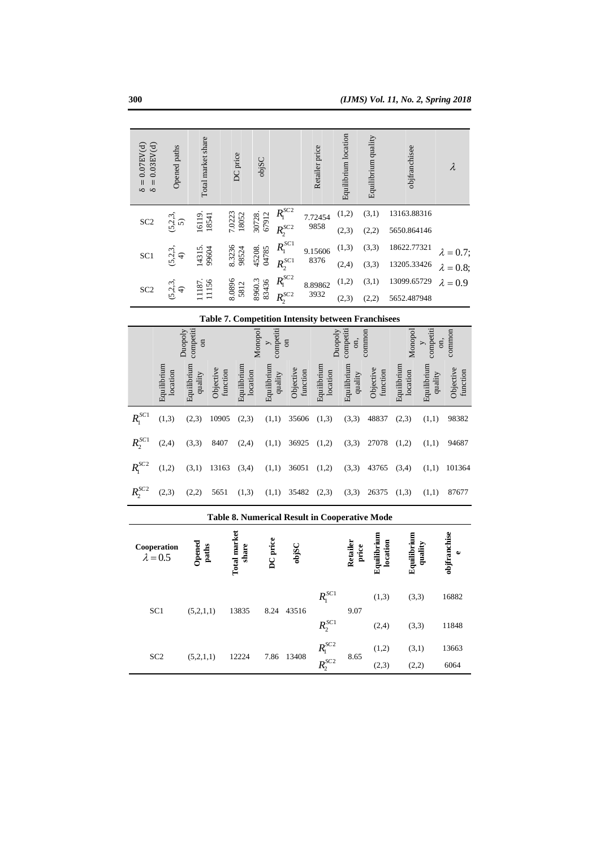| $\delta = 0.03$ EV(d)<br>$\delta = 0.07$ EV(d) | Opened paths            | Total market share                     |                       | DC price                     | objSC                   |                            |                       | Retailer price                               | Equilibrium location        | Equilibrium quality                                       | objfranchisee              |                        | $\lambda$                           |
|------------------------------------------------|-------------------------|----------------------------------------|-----------------------|------------------------------|-------------------------|----------------------------|-----------------------|----------------------------------------------|-----------------------------|-----------------------------------------------------------|----------------------------|------------------------|-------------------------------------|
| SC <sub>2</sub>                                | (5, 2, 3, 5)            | 16119.                                 | 18541                 | 7.0223<br>18052              | 30728.<br>67912         | $R_1^{SC2}$<br>$R_2^{SC2}$ |                       | 7.72454<br>9858                              | (1,2)<br>(2,3)              | (3,1)<br>(2,2)                                            | 13163.88316<br>5650.864146 |                        |                                     |
| SC <sub>1</sub>                                | (5, 2, 3,               | 14315.<br>$\widehat{\mathcal{F}}$      | 99604                 | 8.3236<br>98524              | 45208.<br>04785         | $R_1^{SC1}$<br>$R_2^{SC1}$ |                       | 9.15606<br>8376                              | (1,3)<br>(2,4)              | (3,3)<br>(3,3)                                            | 18622.77321<br>13205.33426 |                        | = $0.7;$                            |
| SC <sub>2</sub>                                | (5, 2, 3, 4)            | 11187.<br>11156                        |                       | 8.0896<br>5812               | 8960.3<br>83436         | $R_1^{SC2}$<br>$R_2^{SC2}$ |                       | 8.89862<br>3932                              | (1,2)<br>(2,3)              | (3,1)<br>(2,2)                                            | 13099.65729<br>5652.487948 |                        | $\lambda = 0.8;$<br>$\lambda = 0.9$ |
|                                                |                         |                                        |                       |                              |                         |                            |                       |                                              |                             | <b>Table 7. Competition Intensity between Franchisees</b> |                            |                        |                                     |
|                                                |                         | competiti<br>Duopoly<br>$\overline{a}$ |                       |                              | Monopol<br>$\geq$       | competiti<br>$\sin$        |                       |                                              | competiti<br>Duopoly<br>on, | common                                                    | Monopol                    | competiti<br>$\geq$    | common<br>on,                       |
|                                                | Equilibrium<br>location | Equilibrium<br>quality                 | Objective<br>function | Equilibrium                  | Equilibrium<br>location | quality                    | Objective<br>function | Equilibrium<br>location                      | Equilibrium<br>quality      | Objective<br>function                                     | Equilibrium<br>location    | Equilibrium<br>quality | Objective<br>function               |
| $R_1^{SC1}$                                    | (1,3)                   | (2,3)                                  | 10905                 | (2,3)                        | (1,1)                   |                            | 35606                 | (1,3)                                        | (3,3)                       | 48837                                                     | (2,3)                      | (1,1)                  | 98382                               |
| $R_2^{SC1}$                                    | (2, 4)                  | (3,3)                                  | 8407                  | (2, 4)                       |                         | (1, 1)                     | 36925                 | (1,2)                                        | (3,3)                       | 27078                                                     | (1,2)                      | (1,1)                  | 94687                               |
| R <sub>1</sub> <sup>SC2</sup>                  | (1,2)                   | (3,1)                                  | 13163                 | (3,4)                        | (1,1)                   |                            | 36051                 | (1,2)                                        | (3,3)                       | 43765                                                     | (3,4)                      | (1,1)                  | 101364                              |
| $R_2^{SC2}$                                    | (2,3)                   | (2,2)                                  | 5651                  | (1,3)                        |                         | (1,1)                      | 35482                 | (2,3)                                        | (3,3)                       | 26375                                                     | (1,3)                      | (1,1)                  | 87677                               |
|                                                |                         |                                        |                       |                              |                         |                            |                       |                                              |                             | Table 8. Numerical Result in Cooperative Mode             |                            |                        |                                     |
|                                                | Cooperation<br>0.5      | Opened                                 | paths                 | <b>Total market</b><br>share | DC price                |                            | objSC                 |                                              | Retailer                    | Equilibrium<br>price                                      | Equilibrium<br>location    | quality                | objfranchise<br>ه                   |
|                                                | SC <sub>1</sub>         | (5,2,1,1)                              |                       | 13835                        |                         |                            | 8.24 43516            | $R_1^{SC1}$<br>$R_2^{SC1}$                   | 9.07                        | (1,3)<br>(2,4)                                            | (3,3)<br>(3,3)             |                        | 16882<br>11848                      |
|                                                | SC <sub>2</sub>         | (5,2,1,1)                              |                       | 12224                        |                         |                            | 7.86 13408            | R <sub>1</sub> <sup>SC2</sup><br>$R_2^{SC2}$ | 8.65                        | (1,2)<br>(2,3)                                            | (3,1)<br>(2,2)             |                        | 13663<br>6064                       |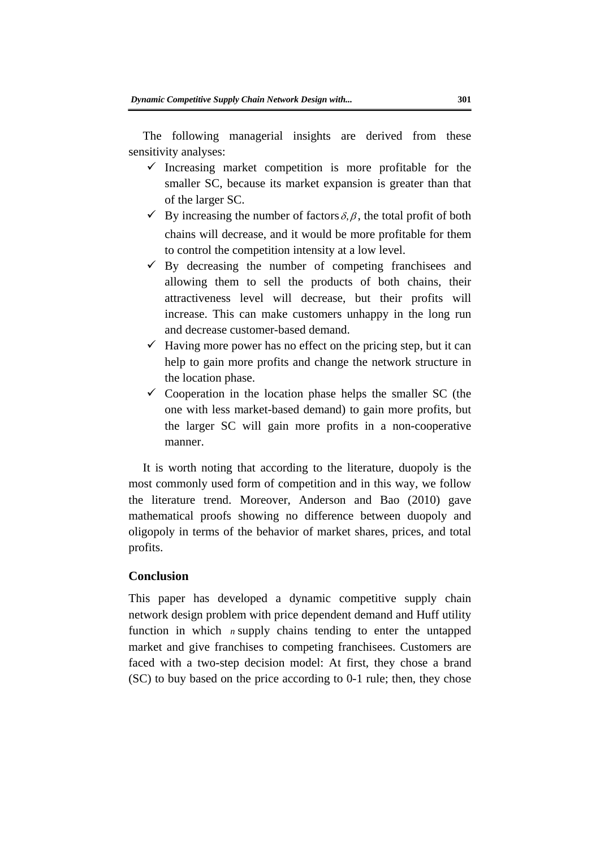The following managerial insights are derived from these sensitivity analyses:

- $\checkmark$  Increasing market competition is more profitable for the smaller SC, because its market expansion is greater than that of the larger SC.
- $\checkmark$  By increasing the number of factors  $\delta$ ,  $\beta$ , the total profit of both chains will decrease, and it would be more profitable for them to control the competition intensity at a low level.
- $\checkmark$  By decreasing the number of competing franchisees and allowing them to sell the products of both chains, their attractiveness level will decrease, but their profits will increase. This can make customers unhappy in the long run and decrease customer-based demand.
- $\checkmark$  Having more power has no effect on the pricing step, but it can help to gain more profits and change the network structure in the location phase.
- $\checkmark$  Cooperation in the location phase helps the smaller SC (the one with less market-based demand) to gain more profits, but the larger SC will gain more profits in a non-cooperative manner.

to control the competition intensity at a low level.<br>  $\checkmark$  By decreasing the number of competing franchisees and<br>
allowing them to sell the products of both chans, their<br>
attractiveness. This can make customers unhappy i It is worth noting that according to the literature, duopoly is the most commonly used form of competition and in this way, we follow the literature trend. Moreover, Anderson and Bao (2010) gave mathematical proofs showing no difference between duopoly and oligopoly in terms of the behavior of market shares, prices, and total profits.

#### **Conclusion**

This paper has developed a dynamic competitive supply chain network design problem with price dependent demand and Huff utility function in which *n* supply chains tending to enter the untapped market and give franchises to competing franchisees. Customers are faced with a two-step decision model: At first, they chose a brand (SC) to buy based on the price according to 0-1 rule; then, they chose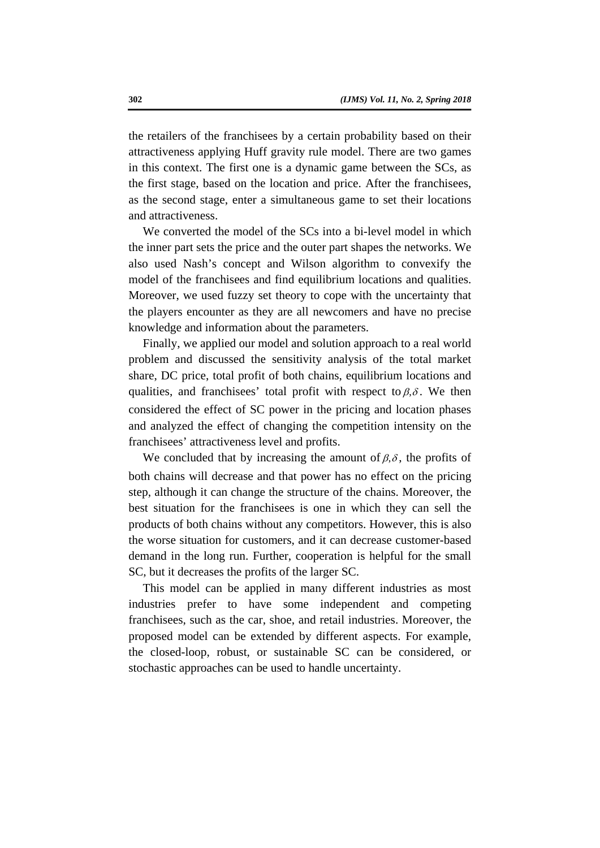the retailers of the franchisees by a certain probability based on their attractiveness applying Huff gravity rule model. There are two games in this context. The first one is a dynamic game between the SCs, as the first stage, based on the location and price. After the franchisees, as the second stage, enter a simultaneous game to set their locations and attractiveness.

We converted the model of the SCs into a bi-level model in which the inner part sets the price and the outer part shapes the networks. We also used Nash's concept and Wilson algorithm to convexify the model of the franchisees and find equilibrium locations and qualities. Moreover, we used fuzzy set theory to cope with the uncertainty that the players encounter as they are all newcomers and have no precise knowledge and information about the parameters.

Finally, we applied our model and solution approach to a real world problem and discussed the sensitivity analysis of the total market share, DC price, total profit of both chains, equilibrium locations and qualities, and franchisees' total profit with respect to  $\beta$ ,  $\delta$ . We then considered the effect of SC power in the pricing and location phases and analyzed the effect of changing the competition intensity on the franchisees' attractiveness level and profits.

the inner part sets the price and the outer part shapes the networks. We<br>also used Nash's concept and Wilson algorithm to convexify the<br>model of the franchisees and find equilibrium locations and qualities.<br>Moreover, we u We concluded that by increasing the amount of  $\beta$ ,  $\delta$ , the profits of both chains will decrease and that power has no effect on the pricing step, although it can change the structure of the chains. Moreover, the best situation for the franchisees is one in which they can sell the products of both chains without any competitors. However, this is also the worse situation for customers, and it can decrease customer-based demand in the long run. Further, cooperation is helpful for the small SC, but it decreases the profits of the larger SC.

This model can be applied in many different industries as most industries prefer to have some independent and competing franchisees, such as the car, shoe, and retail industries. Moreover, the proposed model can be extended by different aspects. For example, the closed-loop, robust, or sustainable SC can be considered, or stochastic approaches can be used to handle uncertainty.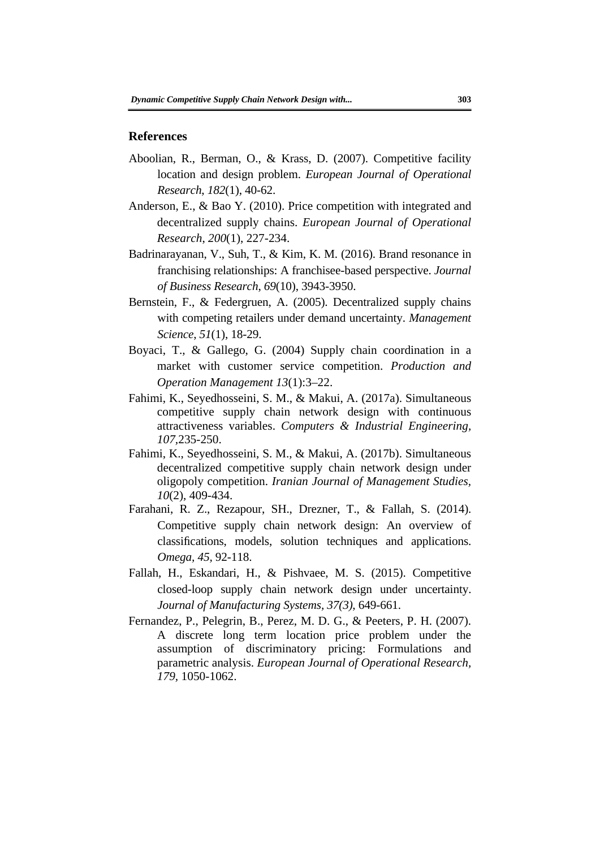#### **References**

- Aboolian, R., Berman, O., & Krass, D. (2007). Competitive facility location and design problem. *European Journal of Operational Research*, *182*(1), 40-62.
- Anderson, E., & Bao Y. (2010). Price competition with integrated and decentralized supply chains. *European Journal of Operational Research*, *200*(1), 227-234.
- Badrinarayanan, V., Suh, T., & Kim, K. M. (2016). Brand resonance in franchising relationships: A franchisee-based perspective. *Journal of Business Research*, *69*(10), 3943-3950.
- Bernstein, F., & Federgruen, A. (2005). Decentralized supply chains with competing retailers under demand uncertainty. *Management Science*, *51*(1), 18-29.
- Boyaci, T., & Gallego, G. (2004) Supply chain coordination in a market with customer service competition. *Production and Operation Management 13*(1):3–22.
- Fahimi, K., Seyedhosseini, S. M., & Makui, A. (2017a). Simultaneous competitive supply chain network design with continuous attractiveness variables. *Computers & Industrial Engineering, 107,*235-250.
- Fahimi, K., Seyedhosseini, S. M., & Makui, A. (2017b). Simultaneous decentralized competitive supply chain network design under oligopoly competition. *Iranian Journal of Management Studies, 10*(2), 409-434.
- Badrianzanan, V., Suh, T., & Kim, K. M. (2016). Brand resonance in<br>franchising relationships: A franchisee-based perspective. Journal<br>of Business Research, 69(10), 3943-3950.<br>Bernstein, F., & Federgruen, A. (2005). Decent Farahani, R. Z., Rezapour, SH., Drezner, T., & Fallah, S. (2014). Competitive supply chain network design: An overview of classi fications, models, solution techniques and applications. *Omega, 45,* 92-118.
- Fallah, H., Eskandari, H., & Pishvaee, M. S. (2015). Competitive closed-loop supply chain network design under uncertainty. *Journal of Manufacturing Systems, 37(3)*, 649-661.
- Fernandez, P., Pelegrin, B., Perez, M. D. G., & Peeters, P. H. (2007). A discrete long term location price problem under the assumption of discriminatory pricing: Formulations and parametric analysis. *European Journal of Operational Research, 179,* 1050-1062.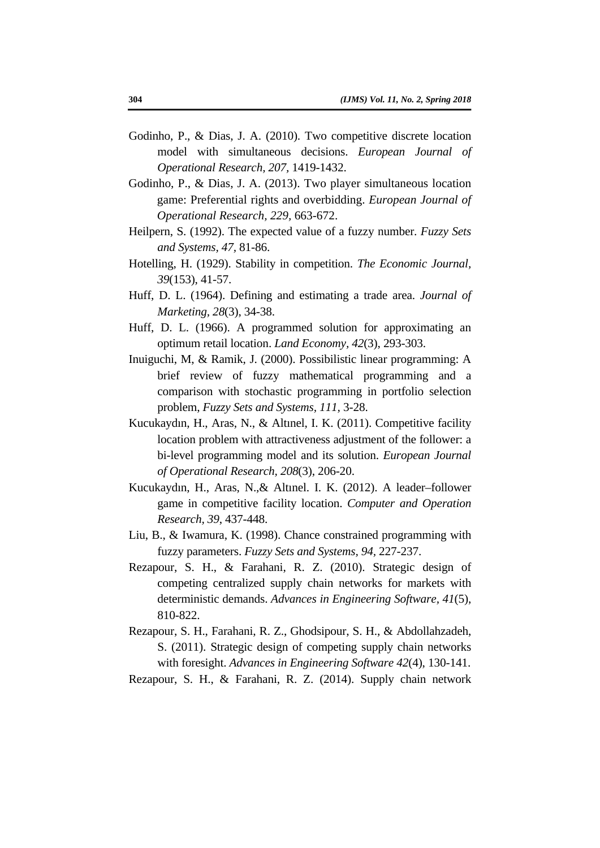- Godinho, P., & Dias, J. A. (2010). Two competitive discrete location model with simultaneous decisions. *European Journal of Operational Research, 207,* 1419-1432.
- Godinho, P., & Dias, J. A. (2013). Two player simultaneous location game: Preferential rights and overbidding. *European Journal of Operational Research, 229,* 663-672.
- Heilpern, S. (1992). The expected value of a fuzzy number. *Fuzzy Sets and Systems, 47,* 81-86.
- Hotelling, H. (1929). Stability in competition. *The Economic Journal, 39*(153), 41-57.
- Huff, D. L. (1964). Defining and estimating a trade area. *Journal of Marketing, 28*(3), 34-38.
- Huff, D. L. (1966). A programmed solution for approximating an optimum retail location. *Land Economy, 42*(3), 293-303.
- Inuiguchi, M, & Ramik, J. (2000). Possibilistic linear programming: A brief review of fuzzy mathematical programming and a comparison with stochastic programming in portfolio selection problem, *Fuzzy Sets and Systems, 111,* 3-28.
- and Systems, 47, 81-86.<br>
Hotelling, H. (1929). Stability in competition. The Economic Journal,<br>
39(153), 41-57.<br>
Huff, D. L. (1966). Defining and estimating a trade area Journal of<br>
Marketing, 28(3), 34-38.<br>
Huff, D. L. (1 Kucukayd ın, H., Aras, N., & Alt ınel, I. K. (2011). Competitive facility location problem with attractiveness adjustment of the follower: a bi-level programming model and its solution. *European Journal of Operational Research, 208*(3), 206-20.
- Kucukayd ın, H., Aras, N.,& Alt ınel. I. K. (2012). A leader–follower game in competitive facility location. *Computer and Operation Research, 39*, 437-448.
- Liu, B., & Iwamura, K. (1998). Chance constrained programming with fuzzy parameters. *Fuzzy Sets and Systems, 94,* 227-237.
- Rezapour, S. H., & Farahani, R. Z. (2010). Strategic design of competing centralized supply chain networks for markets with deterministic demands. *Advances in Engineering Software, 41*(5), 810-822.
- Rezapour, S. H., Farahani, R. Z., Ghodsipour, S. H., & Abdollahzadeh, S. (2011). Strategic design of competing supply chain networks with foresight. *Advances in Engineering Software 42*(4), 130-141.
- Rezapour, S. H., & Farahani, R. Z. (2014). Supply chain network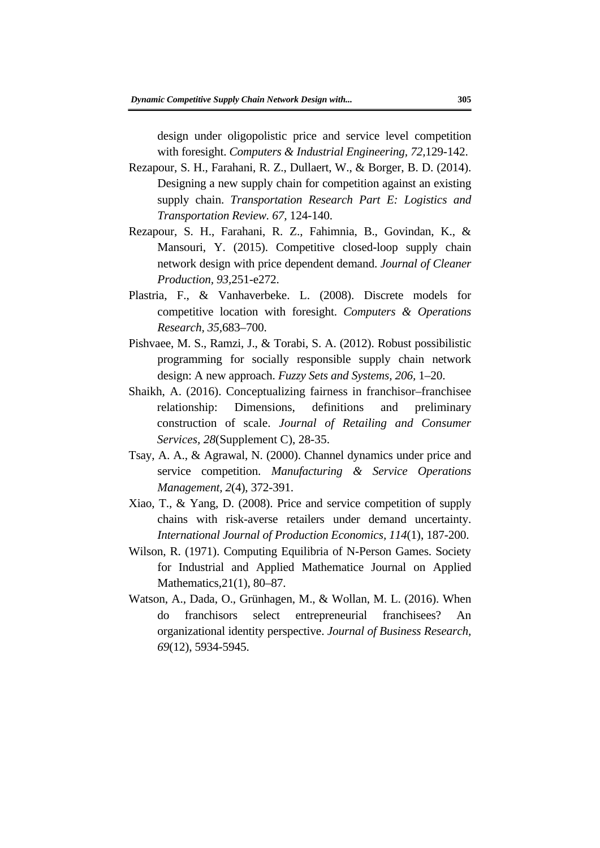design under oligopolistic price and service level competition with foresight. *Computers & Industrial Engineering, 72,*129-142.

- Rezapour, S. H., Farahani, R. Z., Dullaert, W., & Borger, B. D. (2014). Designing a new supply chain for competition against an existing supply chain. *Transportation Research Part E: Logistics and Transportation Review. 67,* 124-140.
- Rezapour, S. H., Farahani, R. Z., Fahimnia, B., Govindan, K., & Mansouri, Y. (2015). Competitive closed-loop supply chain network design with price dependent demand. *Journal of Cleaner Production, 93,*251-e272.
- Plastria, F., & Vanhaverbeke. L. (2008). Discrete models for competitive location with foresight. *Computers & Operations Research, 35,*683–700.
- Pishvaee, M. S., Ramzi, J., & Torabi, S. A. (2012). Robust possibilistic programming for socially responsible supply chain network design: A new approach. *Fuzzy Sets and Systems, 206,* 1–20.
- Mansouri, Y. (2015). Competitive closed-loop supply chain<br>network design with price dependent demand. Journal of Cleaner<br>Production, 93,251-e272.<br>Plastria, F., & Vanhaverbeke. L. (2008). Discrete models for<br>competitive loc Shaikh, A. (2016). Conceptualizing fairness in franchisor–franchisee relationship: Dimensions, definitions and preliminary construction of scale. *Journal of Retailing and Consumer Services, 28*(Supplement C), 28-35.
- Tsay, A. A., & Agrawal, N. (2000). Channel dynamics under price and service competition. *Manufacturing & Service Operations Management, 2*(4), 372-391.
- Xiao, T., & Yang, D. (2008). Price and service competition of supply chains with risk-averse retailers under demand uncertainty. *International Journal of Production Economics, 114*(1), 187-200.
- Wilson, R. (1971). Computing Equilibria of N-Person Games. Society for Industrial and Applied Mathematice Journal on Applied Mathematics,21(1), 80–87.
- Watson, A., Dada, O., Grünhagen, M., & Wollan, M. L. (2016). When do franchisors select entrepreneurial franchisees? An organizational identity perspective. *Journal of Business Research, 69*(12), 5934-5945.